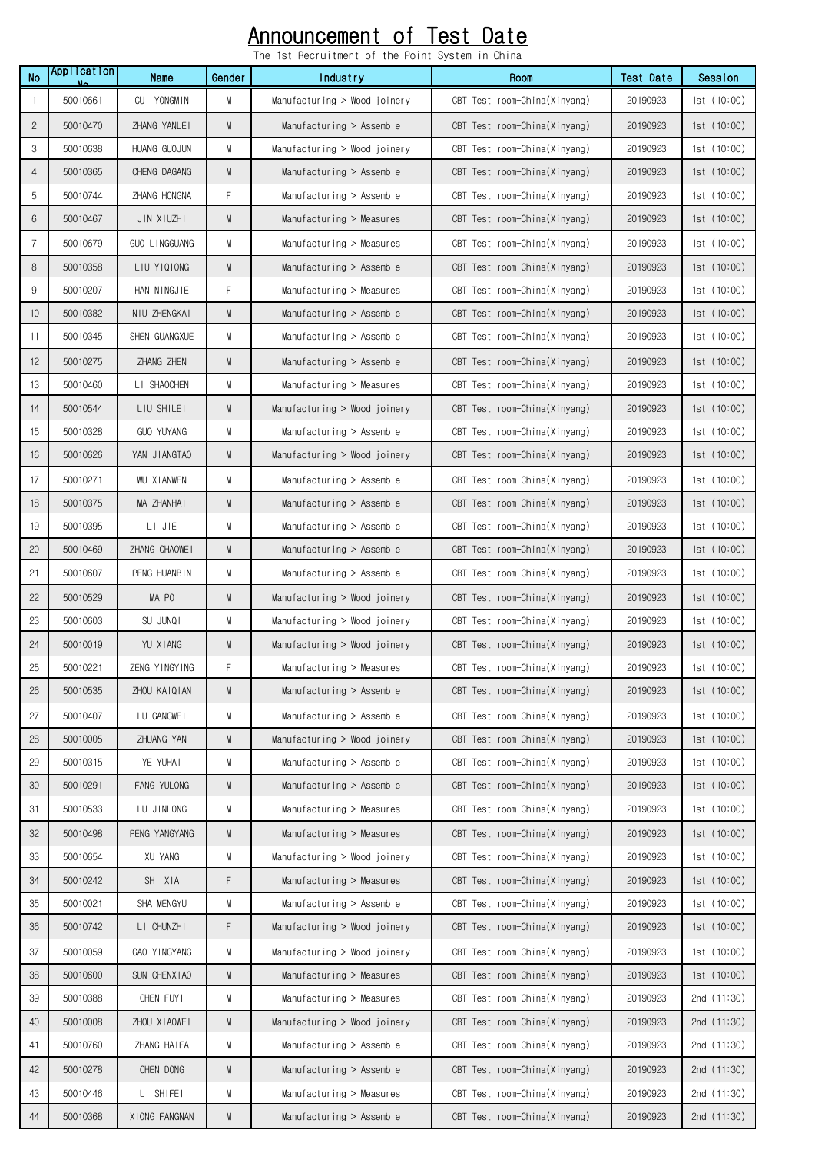## Announcement of Test Date

The 1st Recruitment of the Point System in China

|                |                   |                   |           | THE IST DECIDITINGLIL OF THE FOTHT SYSTEM IN GITHER |                              |           |               |
|----------------|-------------------|-------------------|-----------|-----------------------------------------------------|------------------------------|-----------|---------------|
| <b>No</b>      | Application<br>Ν٨ | Name              | Gender    | Industry                                            | Room                         | Test Date | Session       |
| $\mathbf{1}$   | 50010661          | CUI YONGMIN       | M         | Manufacturing > Wood joinery                        | CBT Test room-China(Xinyang) | 20190923  | 1st(10:00)    |
| $\mathbf{2}$   | 50010470          | ZHANG YANLEI      | M         | Manufacturing > Assemble                            | CBT Test room-China(Xinyang) | 20190923  | 1st(10:00)    |
| 3              | 50010638          | HUANG GUOJUN      | M         | Manufacturing > Wood joinery                        | CBT Test room-China(Xinyang) | 20190923  | 1st(10:00)    |
| $\overline{4}$ | 50010365          | CHENG DAGANG      | M         | Manufacturing $>$ Assemble                          | CBT Test room-China(Xinyang) | 20190923  | 1st(10:00)    |
| 5              | 50010744          | ZHANG HONGNA      | F         | Manufacturing > Assemble                            | CBT Test room-China(Xinyang) | 20190923  | 1st(10:00)    |
| 6              | 50010467          | JIN XIUZHI        | M         | Manufacturing > Measures                            | CBT Test room-China(Xinyang) | 20190923  | 1st(10:00)    |
| $\overline{7}$ | 50010679          | GUO LINGGUANG     | М         | Manufacturing > Measures                            | CBT Test room-China(Xinyang) | 20190923  | 1st(10:00)    |
| $\, 8$         | 50010358          | LIU YIQIONG       | ${\sf M}$ | Manufacturing $>$ Assemble                          | CBT Test room-China(Xinyang) | 20190923  | 1st(10:00)    |
| 9              | 50010207          | HAN NINGJIE       | F         | Manufacturing > Measures                            | CBT Test room-China(Xinyang) | 20190923  | 1st(10:00)    |
| 10             | 50010382          | NIU ZHENGKAI      | M         | Manufacturing $>$ Assemble                          | CBT Test room-China(Xinyang) | 20190923  | 1st(10:00)    |
| 11             | 50010345          | SHEN GUANGXUE     | M         | Manufacturing > Assemble                            | CBT Test room-China(Xinyang) | 20190923  | 1st(10:00)    |
| 12             | 50010275          | ZHANG ZHEN        | M         | Manufacturing > Assemble                            | CBT Test room-China(Xinyang) | 20190923  | 1st(10:00)    |
| 13             | 50010460          | LI SHAOCHEN       | M         | Manufacturing > Measures                            | CBT Test room-China(Xinyang) | 20190923  | 1st(10:00)    |
| 14             | 50010544          | LIU SHILEI        | M         | Manufacturing > Wood joinery                        | CBT Test room-China(Xinyang) | 20190923  | 1st(10:00)    |
| 15             | 50010328          | <b>GUO YUYANG</b> | M         | Manufacturing > Assemble                            | CBT Test room-China(Xinyang) | 20190923  | 1st(10:00)    |
| 16             | 50010626          | YAN JIANGTAO      | M         | Manufacturing > Wood joinery                        | CBT Test room-China(Xinyang) | 20190923  | 1st(10:00)    |
| 17             | 50010271          | WU XIANWEN        | M         | Manufacturing > Assemble                            | CBT Test room-China(Xinyang) | 20190923  | 1st(10:00)    |
| 18             | 50010375          | MA ZHANHAI        | M         | Manufacturing $>$ Assemble                          | CBT Test room-China(Xinyang) | 20190923  | 1st(10:00)    |
| 19             | 50010395          | LI JIE            | M         | Manufacturing > Assemble                            | CBT Test room-China(Xinyang) | 20190923  | 1st(10:00)    |
| 20             | 50010469          | ZHANG CHAOWEI     | M         | Manufacturing $>$ Assemble                          | CBT Test room-China(Xinyang) | 20190923  | 1st(10:00)    |
| 21             | 50010607          | PENG HUANBIN      | M         | Manufacturing > Assemble                            | CBT Test room-China(Xinyang) | 20190923  | 1st(10:00)    |
| 22             | 50010529          | MA PO             | M         | Manufacturing > Wood joinery                        | CBT Test room-China(Xinyang) | 20190923  | 1st(10:00)    |
| 23             | 50010603          | SU JUNQI          | M         | Manufacturing > Wood joinery                        | CBT Test room-China(Xinyang) | 20190923  | 1st(10:00)    |
| 24             | 50010019          | YU XIANG          | M         | Manufacturing > Wood joinery                        | CBT Test room-China(Xinyang) | 20190923  | 1st $(10:00)$ |
| 25             | 50010221          | ZENG YINGYING     | F         | Manufacturing > Measures                            | CBT Test room-China(Xinyang) | 20190923  | 1st (10:00)   |
| 26             | 50010535          | ZHOU KAIQIAN      | M         | Manufacturing $>$ Assemble                          | CBT Test room-China(Xinyang) | 20190923  | 1st(10:00)    |
| 27             | 50010407          | LU GANGWEI        | M         | Manufacturing > Assemble                            | CBT Test room-China(Xinyang) | 20190923  | 1st(10:00)    |
| 28             | 50010005          | ZHUANG YAN        | ${\sf M}$ | Manufacturing > Wood joinery                        | CBT Test room-China(Xinyang) | 20190923  | 1st(10:00)    |
| 29             | 50010315          | YE YUHAI          | M         | Manufacturing > Assemble                            | CBT Test room-China(Xinyang) | 20190923  | 1st(10:00)    |
| 30             | 50010291          | FANG YULONG       | ${\sf M}$ | Manufacturing > Assemble                            | CBT Test room-China(Xinyang) | 20190923  | 1st(10:00)    |
| 31             | 50010533          | LU JINLONG        | M         | Manufacturing > Measures                            | CBT Test room-China(Xinyang) | 20190923  | 1st(10:00)    |
| 32             | 50010498          | PENG YANGYANG     | M         | Manufacturing > Measures                            | CBT Test room-China(Xinyang) | 20190923  | 1st(10:00)    |
| 33             | 50010654          | XU YANG           | M         | Manufacturing > Wood joinery                        | CBT Test room-China(Xinyang) | 20190923  | 1st(10:00)    |
| 34             | 50010242          | SHI XIA           | F         | Manufacturing > Measures                            | CBT Test room-China(Xinyang) | 20190923  | 1st(10:00)    |
| 35             | 50010021          | SHA MENGYU        | M         | Manufacturing > Assemble                            | CBT Test room-China(Xinyang) | 20190923  | 1st(10:00)    |
| 36             | 50010742          | LI CHUNZHI        | F         | Manufacturing > Wood joinery                        | CBT Test room-China(Xinyang) | 20190923  | 1st(10:00)    |
| 37             | 50010059          | GAO YINGYANG      | M         | Manufacturing > Wood joinery                        | CBT Test room-China(Xinyang) | 20190923  | 1st(10:00)    |
| 38             | 50010600          | SUN CHENX I AO    | M         | Manufacturing > Measures                            | CBT Test room-China(Xinyang) | 20190923  | 1st(10:00)    |
| 39             | 50010388          | CHEN FUYI         | M         | Manufacturing > Measures                            | CBT Test room-China(Xinyang) | 20190923  | 2nd $(11:30)$ |
| 40             | 50010008          | ZHOU XIAOWEI      | M         | Manufacturing > Wood joinery                        | CBT Test room-China(Xinyang) | 20190923  | 2nd $(11:30)$ |
| 41             | 50010760          | ZHANG HAIFA       | M         | Manufacturing > Assemble                            | CBT Test room-China(Xinyang) | 20190923  | 2nd $(11:30)$ |
| 42             | 50010278          | CHEN DONG         | M         | Manufacturing > Assemble                            | CBT Test room-China(Xinyang) | 20190923  | 2nd $(11:30)$ |
| 43             | 50010446          | LI SHIFEI         | M         | Manufacturing > Measures                            | CBT Test room-China(Xinyang) | 20190923  | 2nd (11:30)   |
| 44             | 50010368          | XIONG FANGNAN     | M         | $M$ anufacturing > Assemble                         | CBT Test room-China(Xinyang) | 20190923  | 2nd $(11:30)$ |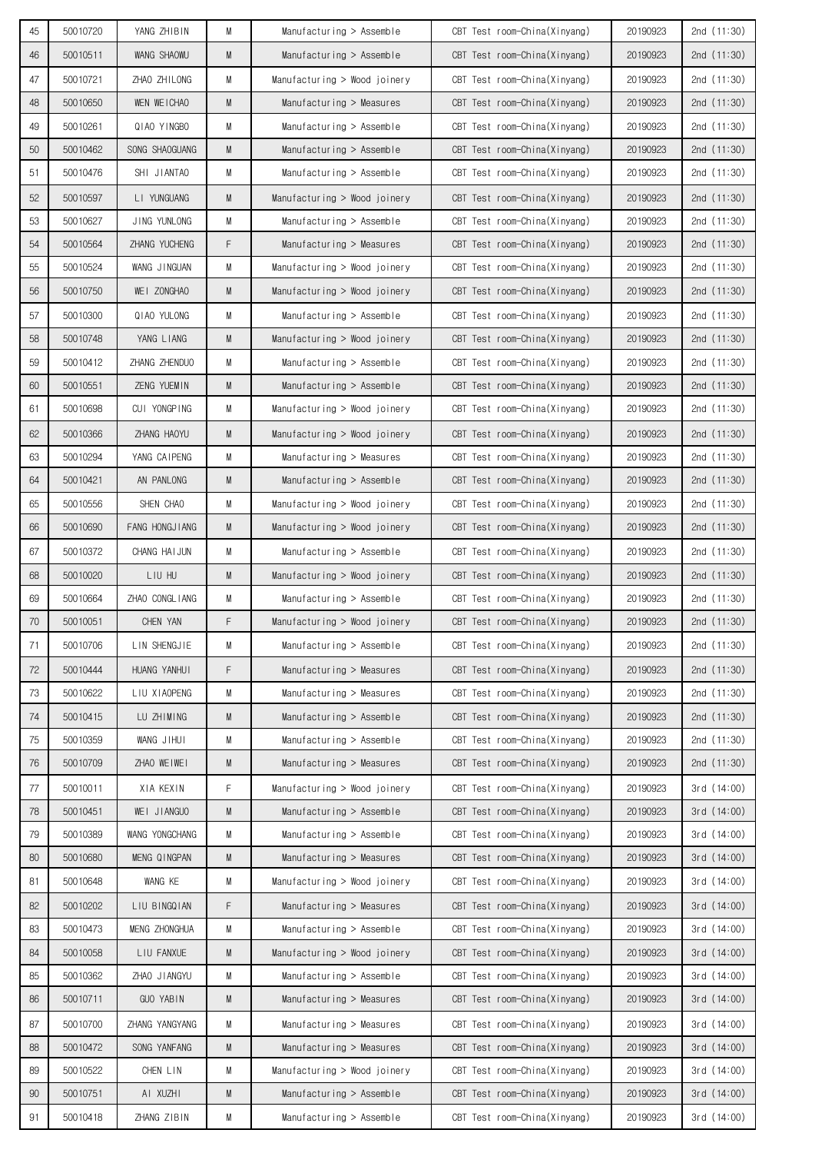| 45 | 50010720 | YANG ZHIBIN          | М | Manufacturing > Assemble       | CBT Test room-China(Xinyang) | 20190923 | 2nd (11:30)   |
|----|----------|----------------------|---|--------------------------------|------------------------------|----------|---------------|
| 46 | 50010511 | WANG SHAOWU          | M | Manufacturing $>$ Assemble     | CBT Test room-China(Xinyang) | 20190923 | 2nd $(11:30)$ |
| 47 | 50010721 | ZHAO ZHILONG         | M | Manufacturing > Wood joinery   | CBT Test room-China(Xinyang) | 20190923 | 2nd (11:30)   |
| 48 | 50010650 | WEN WEICHAO          | M | Manufacturing $>$ Measures     | CBT Test room-China(Xinyang) | 20190923 | 2nd $(11:30)$ |
| 49 | 50010261 | QIAO YINGBO          | M | Manufacturing $>$ Assemble     | CBT Test room-China(Xinyang) | 20190923 | 2nd $(11:30)$ |
| 50 | 50010462 | SONG SHAOGUANG       | M | Manufacturing $>$ Assemble     | CBT Test room-China(Xinyang) | 20190923 | 2nd $(11:30)$ |
| 51 | 50010476 | SHI JIANTAO          | M | Manufacturing $>$ Assemble     | CBT Test room-China(Xinyang) | 20190923 | 2nd $(11:30)$ |
| 52 | 50010597 | LI YUNGUANG          | M | Manufacturing $>$ Wood joinery | CBT Test room-China(Xinyang) | 20190923 | 2nd $(11:30)$ |
| 53 | 50010627 | JING YUNLONG         | M | Manufacturing $>$ Assemble     | CBT Test room-China(Xinyang) | 20190923 | 2nd (11:30)   |
| 54 | 50010564 | ZHANG YUCHENG        | F | Manufacturing $>$ Measures     | CBT Test room-China(Xinyang) | 20190923 | 2nd (11:30)   |
| 55 | 50010524 | WANG JINGUAN         | M | Manufacturing $>$ Wood joinery | CBT Test room-China(Xinyang) | 20190923 | 2nd $(11:30)$ |
| 56 | 50010750 | WEI ZONGHAO          | M | Manufacturing > Wood joinery   | CBT Test room-China(Xinyang) | 20190923 | 2nd $(11:30)$ |
| 57 | 50010300 | QIAO YULONG          | M | Manufacturing $>$ Assemble     | CBT Test room-China(Xinyang) | 20190923 | 2nd (11:30)   |
| 58 | 50010748 | YANG LIANG           | M | Manufacturing > Wood joinery   | CBT Test room-China(Xinyang) | 20190923 | 2nd $(11:30)$ |
| 59 | 50010412 | ZHANG ZHENDUO        | M | Manufacturing $>$ Assemble     | CBT Test room-China(Xinyang) | 20190923 | 2nd (11:30)   |
| 60 | 50010551 | ZENG YUEMIN          | M | Manufacturing $>$ Assemble     | CBT Test room-China(Xinyang) | 20190923 | 2nd $(11:30)$ |
| 61 | 50010698 | CUI YONGPING         | M | Manufacturing > Wood joinery   | CBT Test room-China(Xinyang) | 20190923 | 2nd $(11:30)$ |
| 62 | 50010366 | ZHANG HAOYU          | M | Manufacturing $>$ Wood joinery | CBT Test room-China(Xinyang) | 20190923 | 2nd $(11:30)$ |
| 63 | 50010294 | YANG CAIPENG         | M | Manufacturing $>$ Measures     | CBT Test room-China(Xinyang) | 20190923 | 2nd (11:30)   |
| 64 | 50010421 | AN PANLONG           | M | Manufacturing $>$ Assemble     | CBT Test room-China(Xinyang) | 20190923 | 2nd $(11:30)$ |
| 65 | 50010556 | SHEN CHAO            | M | Manufacturing > Wood joinery   | CBT Test room-China(Xinyang) | 20190923 | 2nd $(11:30)$ |
| 66 | 50010690 | FANG HONGJIANG       | M | Manufacturing $>$ Wood joinery | CBT Test room-China(Xinyang) | 20190923 | 2nd $(11:30)$ |
| 67 | 50010372 | CHANG HAIJUN         | M | Manufacturing > Assemble       | CBT Test room-China(Xinyang) | 20190923 | 2nd (11:30)   |
| 68 | 50010020 | LIU HU               | M | Manufacturing > Wood joinery   | CBT Test room-China(Xinyang) | 20190923 | 2nd $(11:30)$ |
| 69 | 50010664 | ZHAO CONGLIANG       | M | Manufacturing > Assemble       | CBT Test room-China(Xinyang) | 20190923 | 2nd $(11:30)$ |
| 70 | 50010051 | CHEN YAN             | F | Manufacturing > Wood joinery   | CBT Test room-China(Xinyang) | 20190923 | 2nd (11:30)   |
| 71 | 50010706 | LIN SHENGJIE         | M | Manufacturing > Assemble       | CBT Test room-China(Xinyang) | 20190923 | 2nd (11:30)   |
| 72 | 50010444 | HUANG YANHUI         | F | Manufacturing > Measures       | CBT Test room-China(Xinyang) | 20190923 | 2nd (11:30)   |
| 73 | 50010622 | LIU XIAOPENG         | М | Manufacturing > Measures       | CBT Test room-China(Xinyang) | 20190923 | 2nd (11:30)   |
| 74 | 50010415 | LU ZHIMING           | M | Manufacturing > Assemble       | CBT Test room-China(Xinyang) | 20190923 | 2nd (11:30)   |
| 75 | 50010359 | WANG JIHUI           | M | Manufacturing > Assemble       | CBT Test room-China(Xinyang) | 20190923 | 2nd (11:30)   |
| 76 | 50010709 | ZHAO WEIWEI          | M | Manufacturing > Measures       | CBT Test room-China(Xinyang) | 20190923 | 2nd (11:30)   |
| 77 | 50010011 | XIA KEXIN            | F | Manufacturing > Wood joinery   | CBT Test room-China(Xinyang) | 20190923 | 3rd(14:00)    |
| 78 | 50010451 | WEI JIANGUO          | M | Manufacturing > Assemble       | CBT Test room-China(Xinyang) | 20190923 | 3rd (14:00)   |
| 79 | 50010389 | WANG YONGCHANG       | М | Manufacturing > Assemble       | CBT Test room-China(Xinyang) | 20190923 | 3rd(14:00)    |
| 80 | 50010680 | MENG QINGPAN         | M | Manufacturing > Measures       | CBT Test room-China(Xinyang) | 20190923 | 3rd(14:00)    |
| 81 | 50010648 | WANG KE              | M | Manufacturing > Wood joinery   | CBT Test room-China(Xinyang) | 20190923 | 3rd (14:00)   |
| 82 | 50010202 | LIU BINGQIAN         | F | Manufacturing > Measures       | CBT Test room-China(Xinyang) | 20190923 | 3rd(14:00)    |
| 83 | 50010473 | <b>MENG ZHONGHUA</b> | M | Manufacturing > Assemble       | CBT Test room-China(Xinyang) | 20190923 | 3rd (14:00)   |
| 84 | 50010058 | LIU FANXUE           | M | Manufacturing > Wood joinery   | CBT Test room-China(Xinyang) | 20190923 | 3rd(14:00)    |
| 85 | 50010362 | ZHAO JIANGYU         | М | Manufacturing > Assemble       | CBT Test room-China(Xinyang) | 20190923 | 3rd (14:00)   |
| 86 | 50010711 | GUO YABIN            | M | Manufacturing > Measures       | CBT Test room-China(Xinyang) | 20190923 | 3rd(14:00)    |
| 87 | 50010700 | ZHANG YANGYANG       | М | Manufacturing > Measures       | CBT Test room-China(Xinyang) | 20190923 | 3rd (14:00)   |
| 88 | 50010472 | SONG YANFANG         | M | Manufacturing > Measures       | CBT Test room-China(Xinyang) | 20190923 | 3rd(14:00)    |
| 89 | 50010522 | CHEN LIN             | M | Manufacturing > Wood joinery   | CBT Test room-China(Xinyang) | 20190923 | 3rd(14:00)    |
| 90 | 50010751 | AI XUZHI             | M | Manufacturing > Assemble       | CBT Test room-China(Xinyang) | 20190923 | 3rd(14:00)    |
| 91 | 50010418 | ZHANG ZIBIN          | M | $M$ anufacturing > Assemble    | CBT Test room-China(Xinyang) | 20190923 | 3rd (14:00)   |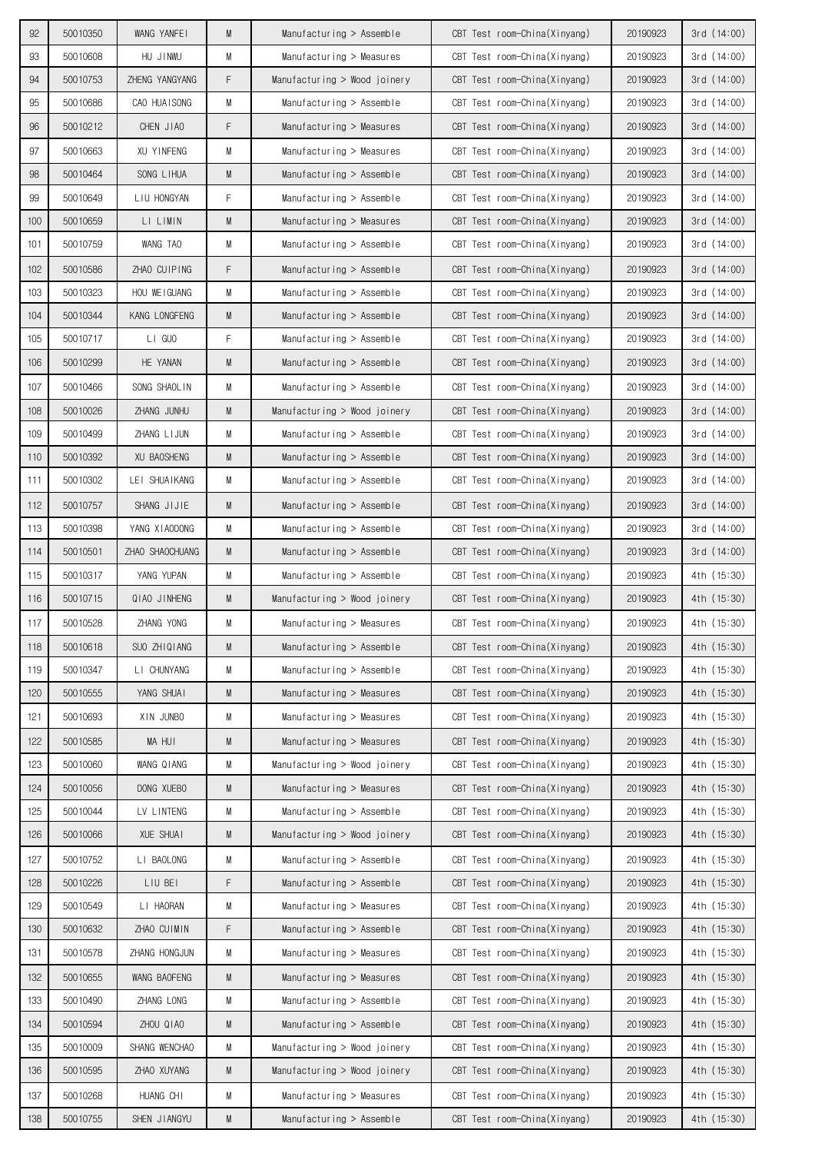| 92  | 50010350 | WANG YANFEI     | M | $M$ anufacturing > Assemble  | CBT Test room-China(Xinyang) | 20190923 | 3rd(14:00)  |
|-----|----------|-----------------|---|------------------------------|------------------------------|----------|-------------|
| 93  | 50010608 | HU JINWU        | M | Manufacturing > Measures     | CBT Test room-China(Xinyang) | 20190923 | 3rd (14:00) |
| 94  | 50010753 | ZHENG YANGYANG  | F | Manufacturing > Wood joinery | CBT Test room-China(Xinyang) | 20190923 | 3rd(14:00)  |
| 95  | 50010686 | CAO HUAISONG    | М | Manufacturing $>$ Assemble   | CBT Test room-China(Xinyang) | 20190923 | 3rd(14:00)  |
| 96  | 50010212 | CHEN JIAO       | F | Manufacturing > Measures     | CBT Test room-China(Xinyang) | 20190923 | 3rd(14:00)  |
| 97  | 50010663 | XU YINFENG      | M | Manufacturing $>$ Measures   | CBT Test room-China(Xinyang) | 20190923 | 3rd(14:00)  |
| 98  | 50010464 | SONG LIHUA      | M | Manufacturing $>$ Assemble   | CBT Test room-China(Xinyang) | 20190923 | 3rd(14:00)  |
| 99  | 50010649 | LIU HONGYAN     | F | Manufacturing $>$ Assemble   | CBT Test room-China(Xinyang) | 20190923 | 3rd(14:00)  |
| 100 | 50010659 | LI LIMIN        | M | Manufacturing $>$ Measures   | CBT Test room-China(Xinyang) | 20190923 | 3rd (14:00) |
| 101 | 50010759 | WANG TAO        | М | Manufacturing > Assemble     | CBT Test room-China(Xinyang) | 20190923 | 3rd(14:00)  |
| 102 | 50010586 | ZHAO CUIPING    | F | Manufacturing $>$ Assemble   | CBT Test room-China(Xinyang) | 20190923 | 3rd(14:00)  |
| 103 | 50010323 | HOU WEIGUANG    | M | $M$ anufacturing > Assemble  | CBT Test room-China(Xinyang) | 20190923 | 3rd (14:00) |
| 104 | 50010344 | KANG LONGFENG   | M | Manufacturing $>$ Assemble   | CBT Test room-China(Xinyang) | 20190923 | 3rd(14:00)  |
| 105 | 50010717 | LI GUO          | F | Manufacturing $>$ Assemble   | CBT Test room-China(Xinyang) | 20190923 | 3rd(14:00)  |
| 106 | 50010299 | HE YANAN        | M | Manufacturing > Assemble     | CBT Test room-China(Xinyang) | 20190923 | 3rd(14:00)  |
| 107 | 50010466 | SONG SHAOLIN    | M | Manufacturing $>$ Assemble   | CBT Test room-China(Xinyang) | 20190923 | 3rd(14:00)  |
| 108 | 50010026 | ZHANG JUNHU     | M | Manufacturing > Wood joinery | CBT Test room-China(Xinyang) | 20190923 | 3rd(14:00)  |
| 109 | 50010499 | ZHANG LIJUN     | М | Manufacturing $>$ Assemble   | CBT Test room-China(Xinyang) | 20190923 | 3rd(14:00)  |
| 110 | 50010392 | XU BAOSHENG     | M | $M$ anufacturing > Assemble  | CBT Test room-China(Xinyang) | 20190923 | 3rd(14:00)  |
| 111 | 50010302 | LEI SHUAIKANG   | M | Manufacturing $>$ Assemble   | CBT Test room-China(Xinyang) | 20190923 | 3rd(14:00)  |
| 112 | 50010757 | SHANG JIJIE     | M | Manufacturing $>$ Assemble   | CBT Test room-China(Xinyang) | 20190923 | 3rd(14:00)  |
| 113 | 50010398 | YANG XIAODONG   | М | Manufacturing $>$ Assemble   | CBT Test room-China(Xinyang) | 20190923 | 3rd (14:00) |
| 114 | 50010501 | ZHAO SHAOCHUANG | M | Manufacturing $>$ Assemble   | CBT Test room-China(Xinyang) | 20190923 | 3rd(14:00)  |
| 115 | 50010317 | YANG YUPAN      | M | Manufacturing $>$ Assemble   | CBT Test room-China(Xinyang) | 20190923 | 4th (15:30) |
| 116 | 50010715 | QIAO JINHENG    | M | Manufacturing > Wood joinery | CBT Test room-China(Xinyang) | 20190923 | 4th (15:30) |
| 117 | 50010528 | ZHANG YONG      | М | Manufacturing > Measures     | CBT Test room-China(Xinyang) | 20190923 | 4th (15:30) |
| 118 | 50010618 | SUO ZHIQIANG    | M | Manufacturing > Assemble     | CBT Test room-China(Xinyang) | 20190923 | 4th (15:30) |
| 119 | 50010347 | LI CHUNYANG     | М | Manufacturing > Assemble     | CBT Test room-China(Xinyang) | 20190923 | 4th (15:30) |
| 120 | 50010555 | YANG SHUAI      | M | Manufacturing > Measures     | CBT Test room-China(Xinyang) | 20190923 | 4th (15:30) |
| 121 | 50010693 | XIN JUNBO       | M | Manufacturing > Measures     | CBT Test room-China(Xinyang) | 20190923 | 4th (15:30) |
| 122 | 50010585 | MA HUI          | M | Manufacturing > Measures     | CBT Test room-China(Xinyang) | 20190923 | 4th (15:30) |
| 123 | 50010060 | WANG QIANG      | М | Manufacturing > Wood joinery | CBT Test room-China(Xinyang) | 20190923 | 4th (15:30) |
| 124 | 50010056 | DONG XUEBO      | M | Manufacturing > Measures     | CBT Test room-China(Xinyang) | 20190923 | 4th (15:30) |
| 125 | 50010044 | LV LINTENG      | М | Manufacturing > Assemble     | CBT Test room-China(Xinyang) | 20190923 | 4th (15:30) |
| 126 | 50010066 | XUE SHUAI       | M | Manufacturing > Wood joinery | CBT Test room-China(Xinyang) | 20190923 | 4th (15:30) |
| 127 | 50010752 | LI BAOLONG      | М | Manufacturing > Assemble     | CBT Test room-China(Xinyang) | 20190923 | 4th (15:30) |
| 128 | 50010226 | LIU BEI         | F | Manufacturing > Assemble     | CBT Test room-China(Xinyang) | 20190923 | 4th (15:30) |
| 129 | 50010549 | LI HAORAN       | М | Manufacturing > Measures     | CBT Test room-China(Xinyang) | 20190923 | 4th (15:30) |
| 130 | 50010632 | ZHAO CUIMIN     | F | Manufacturing $>$ Assemble   | CBT Test room-China(Xinyang) | 20190923 | 4th (15:30) |
| 131 | 50010578 | ZHANG HONGJUN   | M | Manufacturing > Measures     | CBT Test room-China(Xinyang) | 20190923 | 4th (15:30) |
| 132 | 50010655 | WANG BAOFENG    | M | Manufacturing > Measures     | CBT Test room-China(Xinyang) | 20190923 | 4th (15:30) |
| 133 | 50010490 | ZHANG LONG      | М | Manufacturing > Assemble     | CBT Test room-China(Xinyang) | 20190923 | 4th (15:30) |
| 134 | 50010594 | ZHOU QIAO       | M | Manufacturing > Assemble     | CBT Test room-China(Xinyang) | 20190923 | 4th (15:30) |
| 135 | 50010009 | SHANG WENCHAO   | М | Manufacturing > Wood joinery | CBT Test room-China(Xinyang) | 20190923 | 4th (15:30) |
| 136 | 50010595 | ZHAO XUYANG     | M | Manufacturing > Wood joinery | CBT Test room-China(Xinyang) | 20190923 | 4th (15:30) |
| 137 | 50010268 | HUANG CHI       | М | Manufacturing > Measures     | CBT Test room-China(Xinyang) | 20190923 | 4th (15:30) |
| 138 | 50010755 | SHEN JIANGYU    | M | Manufacturing > Assemble     | CBT Test room-China(Xinyang) | 20190923 | 4th (15:30) |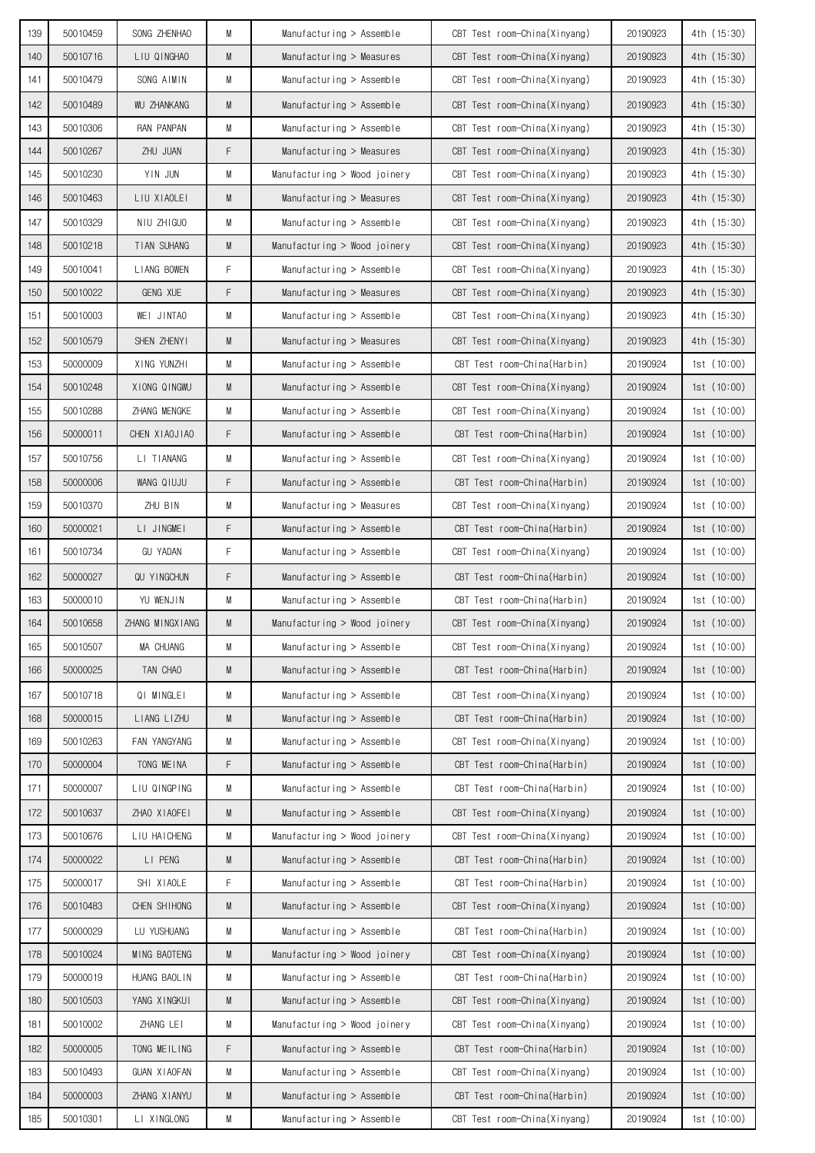| 139 | 50010459 | SONG ZHENHAO       | M | $M$ anufacturing > Assemble  | CBT Test room-China(Xinyang) | 20190923 | 4th (15:30)   |
|-----|----------|--------------------|---|------------------------------|------------------------------|----------|---------------|
| 140 | 50010716 | LIU QINGHAO        | M | Manufacturing > Measures     | CBT Test room-China(Xinyang) | 20190923 | 4th (15:30)   |
| 141 | 50010479 | SONG AIMIN         | М | Manufacturing $>$ Assemble   | CBT Test room-China(Xinyang) | 20190923 | 4th (15:30)   |
| 142 | 50010489 | <b>WU ZHANKANG</b> | M | Manufacturing $>$ Assemble   | CBT Test room-China(Xinyang) | 20190923 | 4th (15:30)   |
| 143 | 50010306 | RAN PANPAN         | M | Manufacturing $>$ Assemble   | CBT Test room-China(Xinyang) | 20190923 | 4th (15:30)   |
| 144 | 50010267 | ZHU JUAN           | F | Manufacturing $>$ Measures   | CBT Test room-China(Xinyang) | 20190923 | 4th (15:30)   |
| 145 | 50010230 | YIN JUN            | М | Manufacturing > Wood joinery | CBT Test room-China(Xinyang) | 20190923 | 4th (15:30)   |
| 146 | 50010463 | LIU XIAOLEI        | M | Manufacturing > Measures     | CBT Test room-China(Xinyang) | 20190923 | 4th (15:30)   |
| 147 | 50010329 | NIU ZHIGUO         | M | Manufacturing $>$ Assemble   | CBT Test room-China(Xinyang) | 20190923 | 4th (15:30)   |
| 148 | 50010218 | TIAN SUHANG        | M | Manufacturing > Wood joinery | CBT Test room-China(Xinyang) | 20190923 | 4th (15:30)   |
| 149 | 50010041 | LIANG BOWEN        | F | Manufacturing $>$ Assemble   | CBT Test room-China(Xinyang) | 20190923 | 4th (15:30)   |
| 150 | 50010022 | GENG XUE           | F | Manufacturing $>$ Measures   | CBT Test room-China(Xinyang) | 20190923 | 4th (15:30)   |
| 151 | 50010003 | WEI JINTAO         | M | Manufacturing > Assemble     | CBT Test room-China(Xinyang) | 20190923 | 4th (15:30)   |
| 152 | 50010579 | SHEN ZHENYI        | M | Manufacturing > Measures     | CBT Test room-China(Xinyang) | 20190923 | 4th (15:30)   |
| 153 | 50000009 | XING YUNZHI        | M | Manufacturing $>$ Assemble   | CBT Test room-China(Harbin)  | 20190924 | 1st(10:00)    |
| 154 | 50010248 | XIONG QINGWU       | M | Manufacturing $>$ Assemble   | CBT Test room-China(Xinyang) | 20190924 | 1st(10:00)    |
| 155 | 50010288 | ZHANG MENGKE       | M | $M$ anufacturing > Assemble  | CBT Test room-China(Xinyang) | 20190924 | 1st (10:00)   |
| 156 | 50000011 | CHEN XIAOJIAO      | F | Manufacturing $>$ Assemble   | CBT Test room-China(Harbin)  | 20190924 | 1st(10:00)    |
| 157 | 50010756 | LI TIANANG         | M | Manufacturing $>$ Assemble   | CBT Test room-China(Xinyang) | 20190924 | 1st(10:00)    |
| 158 | 50000006 | WANG QIUJU         | F | Manufacturing $>$ Assemble   | CBT Test room-China(Harbin)  | 20190924 | 1st(10:00)    |
| 159 | 50010370 | ZHU BIN            | M | Manufacturing $>$ Measures   | CBT Test room-China(Xinyang) | 20190924 | 1st(10:00)    |
| 160 | 50000021 | LI JINGMEI         | F | Manufacturing $>$ Assemble   | CBT Test room-China(Harbin)  | 20190924 | 1st $(10:00)$ |
| 161 | 50010734 | <b>GU YADAN</b>    | F | Manufacturing $>$ Assemble   | CBT Test room-China(Xinyang) | 20190924 | 1st(10:00)    |
| 162 | 50000027 | QU YINGCHUN        | F | Manufacturing $>$ Assemble   | CBT Test room-China(Harbin)  | 20190924 | 1st(10:00)    |
| 163 | 50000010 | YU WENJIN          | M | $M$ anufacturing > Assemble  | CBT Test room-China(Harbin)  | 20190924 | 1st(10:00)    |
| 164 | 50010658 | ZHANG MINGXIANG    | M | Manufacturing > Wood joinery | CBT Test room-China(Xinyang) | 20190924 | 1st $(10:00)$ |
| 165 | 50010507 | MA CHUANG          | М | Manufacturing > Assemble     | CBT Test room-China(Xinyang) | 20190924 | 1st(10:00)    |
| 166 | 50000025 | TAN CHAO           | M | Manufacturing > Assemble     | CBT Test room-China(Harbin)  | 20190924 | 1st(10:00)    |
| 167 | 50010718 | QI MINGLEI         | М | Manufacturing > Assemble     | CBT Test room-China(Xinyang) | 20190924 | 1st(10:00)    |
| 168 | 50000015 | LIANG LIZHU        | M | Manufacturing > Assemble     | CBT Test room-China(Harbin)  | 20190924 | 1st(10:00)    |
| 169 | 50010263 | FAN YANGYANG       | М | Manufacturing > Assemble     | CBT Test room-China(Xinyang) | 20190924 | 1st (10:00)   |
| 170 | 50000004 | TONG MEINA         | F | Manufacturing $>$ Assemble   | CBT Test room-China(Harbin)  | 20190924 | 1st(10:00)    |
| 171 | 50000007 | LIU QINGPING       | M | Manufacturing $>$ Assemble   | CBT Test room-China(Harbin)  | 20190924 | 1st(10:00)    |
| 172 | 50010637 | ZHAO XIAOFEI       | M | Manufacturing > Assemble     | CBT Test room-China(Xinyang) | 20190924 | 1st (10:00)   |
| 173 | 50010676 | LIU HAICHENG       | М | Manufacturing > Wood joinery | CBT Test room-China(Xinyang) | 20190924 | 1st(10:00)    |
| 174 | 50000022 | LI PENG            | M | Manufacturing > Assemble     | CBT Test room-China(Harbin)  | 20190924 | 1st(10:00)    |
| 175 | 50000017 | SHI XIAOLE         | F | Manufacturing > Assemble     | CBT Test room-China(Harbin)  | 20190924 | 1st(10:00)    |
| 176 | 50010483 | CHEN SHIHONG       | M | Manufacturing > Assemble     | CBT Test room-China(Xinyang) | 20190924 | 1st(10:00)    |
| 177 | 50000029 | LU YUSHUANG        | М | Manufacturing > Assemble     | CBT Test room-China(Harbin)  | 20190924 | 1st(10:00)    |
| 178 | 50010024 | MING BAOTENG       | M | Manufacturing > Wood joinery | CBT Test room-China(Xinyang) | 20190924 | 1st(10:00)    |
| 179 | 50000019 | HUANG BAOLIN       | M | Manufacturing > Assemble     | CBT Test room-China(Harbin)  | 20190924 | 1st(10:00)    |
| 180 | 50010503 | YANG XINGKUI       | M | Manufacturing > Assemble     | CBT Test room-China(Xinyang) | 20190924 | 1st(10:00)    |
| 181 | 50010002 | ZHANG LEI          | М | Manufacturing > Wood joinery | CBT Test room-China(Xinyang) | 20190924 | 1st(10:00)    |
| 182 | 50000005 | TONG MEILING       | F | Manufacturing > Assemble     | CBT Test room-China(Harbin)  | 20190924 | 1st(10:00)    |
| 183 | 50010493 | GUAN XIAOFAN       | М | Manufacturing > Assemble     | CBT Test room-China(Xinyang) | 20190924 | 1st(10:00)    |
| 184 | 50000003 | ZHANG XIANYU       | M | Manufacturing > Assemble     | CBT Test room-China(Harbin)  | 20190924 | 1st(10:00)    |
| 185 | 50010301 | LI XINGLONG        | М | Manufacturing > Assemble     | CBT Test room-China(Xinyang) | 20190924 | 1st (10:00)   |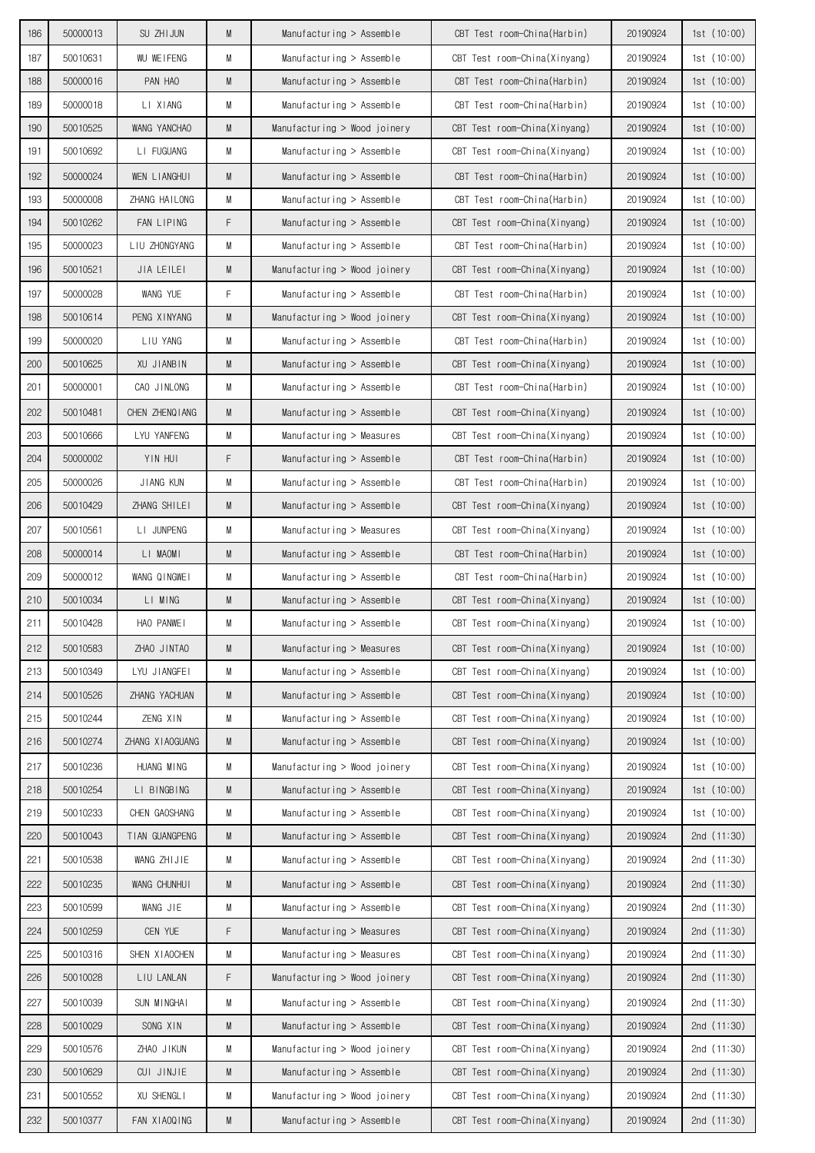| 186        | 50000013             | SU ZHI JUN                      | M      | $M$ anufacturing > Assemble                          | CBT Test room-China(Harbin)                                  | 20190924             | 1st(10:00)                 |
|------------|----------------------|---------------------------------|--------|------------------------------------------------------|--------------------------------------------------------------|----------------------|----------------------------|
| 187        | 50010631             | WU WEIFENG                      | M      | Manufacturing $>$ Assemble                           | CBT Test room-China(Xinyang)                                 | 20190924             | 1st(10:00)                 |
| 188        | 50000016             | PAN HAO                         | M      | $M$ anufacturing > Assemble                          | CBT Test room-China(Harbin)                                  | 20190924             | 1st(10:00)                 |
| 189        | 50000018             | LI XIANG                        | М      | Manufacturing $>$ Assemble                           | CBT Test room-China(Harbin)                                  | 20190924             | 1st(10:00)                 |
| 190        | 50010525             | WANG YANCHAO                    | M      | Manufacturing > Wood joinery                         | CBT Test room-China(Xinyang)                                 | 20190924             | 1st(10:00)                 |
| 191        | 50010692             | LI FUGUANG                      | М      | Manufacturing $>$ Assemble                           | CBT Test room-China(Xinyang)                                 | 20190924             | 1st(10:00)                 |
| 192        | 50000024             | WEN LIANGHUI                    | M      | Manufacturing $>$ Assemble                           | CBT Test room-China(Harbin)                                  | 20190924             | 1st(10:00)                 |
| 193        | 50000008             | ZHANG HAILONG                   | М      | Manufacturing > Assemble                             | CBT Test room-China(Harbin)                                  | 20190924             | 1st(10:00)                 |
| 194        | 50010262             | FAN LIPING                      | F      | $M$ anufacturing > Assemble                          | CBT Test room-China(Xinyang)                                 | 20190924             | 1st(10:00)                 |
| 195        | 50000023             | LIU ZHONGYANG                   | M      | Manufacturing > Assemble                             | CBT Test room-China(Harbin)                                  | 20190924             | 1st (10:00)                |
| 196        | 50010521             | JIA LEILEI                      | M      | Manufacturing > Wood joinery                         | CBT Test room-China(Xinyang)                                 | 20190924             | 1st(10:00)                 |
| 197        | 50000028             | WANG YUE                        | F      | Manufacturing $>$ Assemble                           | CBT Test room-China(Harbin)                                  | 20190924             | 1st(10:00)                 |
| 198        | 50010614             | PENG XINYANG                    | M      | Manufacturing > Wood joinery                         | CBT Test room-China(Xinyang)                                 | 20190924             | 1st(10:00)                 |
| 199        | 50000020             | LIU YANG                        | M      | Manufacturing $>$ Assemble                           | CBT Test room-China(Harbin)                                  | 20190924             | 1st(10:00)                 |
| 200        | 50010625             | XU JIANBIN                      | M      | Manufacturing $>$ Assemble                           | CBT Test room-China(Xinyang)                                 | 20190924             | 1st(10:00)                 |
| 201        | 50000001             | CAO JINLONG                     | М      | Manufacturing $>$ Assemble                           | CBT Test room-China(Harbin)                                  | 20190924             | 1st(10:00)                 |
| 202        | 50010481             | CHEN ZHENQIANG                  | M      | Manufacturing $>$ Assemble                           | CBT Test room-China(Xinyang)                                 | 20190924             | 1st(10:00)                 |
| 203        | 50010666             | LYU YANFENG                     | М      | Manufacturing $>$ Measures                           | CBT Test room-China(Xinyang)                                 | 20190924             | 1st (10:00)                |
| 204        | 50000002             | YIN HUI                         | F      | Manufacturing $>$ Assemble                           | CBT Test room-China(Harbin)                                  | 20190924             | 1st(10:00)                 |
| 205        | 50000026             | JIANG KUN                       | М      | Manufacturing $>$ Assemble                           | CBT Test room-China(Harbin)                                  | 20190924             | 1st(10:00)                 |
| 206        | 50010429             | ZHANG SHILEI                    | M      | $M$ anufacturing > Assemble                          | CBT Test room-China(Xinyang)                                 | 20190924             | 1st(10:00)                 |
| 207        | 50010561             | LI JUNPENG                      | M      | Manufacturing $>$ Measures                           | CBT Test room-China(Xinyang)                                 | 20190924             | 1st (10:00)                |
| 208        | 50000014             | LI MAOMI                        | M      | Manufacturing $>$ Assemble                           | CBT Test room-China(Harbin)                                  | 20190924             | 1st(10:00)                 |
| 209        | 50000012             | WANG QINGWEI                    | М      | Manufacturing $>$ Assemble                           | CBT Test room-China(Harbin)                                  | 20190924             | 1st(10:00)                 |
| 210        | 50010034             | LI MING                         | M      | Manufacturing $>$ Assemble                           | CBT Test room-China(Xinyang)                                 | 20190924             | 1st(10:00)                 |
| 211        | 50010428             | HAO PANWEI                      | M      | Manufacturing $>$ Assemble                           | CBT Test room-China(Xinyang)                                 | 20190924             | 1st(10:00)                 |
| 212        | 50010583             | ZHAO JINTAO                     | M      | Manufacturing $>$ Measures                           | CBT Test room-China(Xinyang)                                 | 20190924             | 1st(10:00)                 |
| 213        | 50010349             | LYU JIANGFEI                    | M      | Manufacturing > Assemble                             | CBT Test room-China(Xinyang)                                 | 20190924             | 1st (10:00)                |
| 214        | 50010526             | ZHANG YACHUAN                   | M      | Manufacturing > Assemble                             | CBT Test room-China(Xinyang)                                 | 20190924             | 1st(10:00)                 |
| 215        | 50010244             | ZENG XIN                        | М      | Manufacturing > Assemble                             | CBT Test room-China(Xinyang)                                 | 20190924             | 1st(10:00)                 |
| 216        | 50010274             | ZHANG XIAOGUANG                 | M      | Manufacturing > Assemble                             | CBT Test room-China(Xinyang)                                 | 20190924             | 1st(10:00)                 |
| 217        | 50010236             | HUANG MING                      | М      | Manufacturing > Wood joinery                         | CBT Test room-China(Xinyang)                                 | 20190924             | 1st(10:00)                 |
| 218        | 50010254             | LI BINGBING                     | M      | Manufacturing > Assemble                             | CBT Test room-China(Xinyang)                                 | 20190924             | 1st(10:00)                 |
| 219<br>220 | 50010233<br>50010043 | CHEN GAOSHANG<br>TIAN GUANGPENG | M<br>M | Manufacturing > Assemble<br>Manufacturing > Assemble | CBT Test room-China(Xinyang)<br>CBT Test room-China(Xinyang) | 20190924<br>20190924 | 1st (10:00)<br>2nd (11:30) |
| 221        | 50010538             | WANG ZHIJIE                     | M      | Manufacturing > Assemble                             | CBT Test room-China(Xinyang)                                 | 20190924             | 2nd (11:30)                |
| 222        | 50010235             | WANG CHUNHUI                    | M      | Manufacturing > Assemble                             | CBT Test room-China(Xinyang)                                 | 20190924             | 2nd (11:30)                |
| 223        | 50010599             | WANG JIE                        | М      | Manufacturing > Assemble                             | CBT Test room-China(Xinyang)                                 | 20190924             | 2nd (11:30)                |
| 224        | 50010259             | CEN YUE                         | F      | Manufacturing > Measures                             | CBT Test room-China(Xinyang)                                 | 20190924             | 2nd (11:30)                |
| 225        | 50010316             | SHEN XIAOCHEN                   | М      | Manufacturing > Measures                             | CBT Test room-China(Xinyang)                                 | 20190924             | 2nd (11:30)                |
| 226        | 50010028             | LIU LANLAN                      | F      | Manufacturing > Wood joinery                         | CBT Test room-China(Xinyang)                                 | 20190924             | 2nd (11:30)                |
| 227        | 50010039             | SUN MINGHAI                     | М      | Manufacturing > Assemble                             | CBT Test room-China(Xinyang)                                 | 20190924             | 2nd (11:30)                |
| 228        | 50010029             | SONG XIN                        | M      | Manufacturing > Assemble                             | CBT Test room-China(Xinyang)                                 | 20190924             | 2nd (11:30)                |
| 229        | 50010576             | ZHAO JIKUN                      | М      | Manufacturing > Wood joinery                         | CBT Test room-China(Xinyang)                                 | 20190924             | 2nd (11:30)                |
| 230        | 50010629             | CUI JINJIE                      | M      | Manufacturing > Assemble                             | CBT Test room-China(Xinyang)                                 | 20190924             | 2nd $(11:30)$              |
| 231        | 50010552             | XU SHENGLI                      | M      | Manufacturing > Wood joinery                         | CBT Test room-China(Xinyang)                                 | 20190924             | 2nd (11:30)                |
| 232        | 50010377             | FAN XIAOQING                    | M      | Manufacturing > Assemble                             | CBT Test room-China(Xinyang)                                 | 20190924             | 2nd (11:30)                |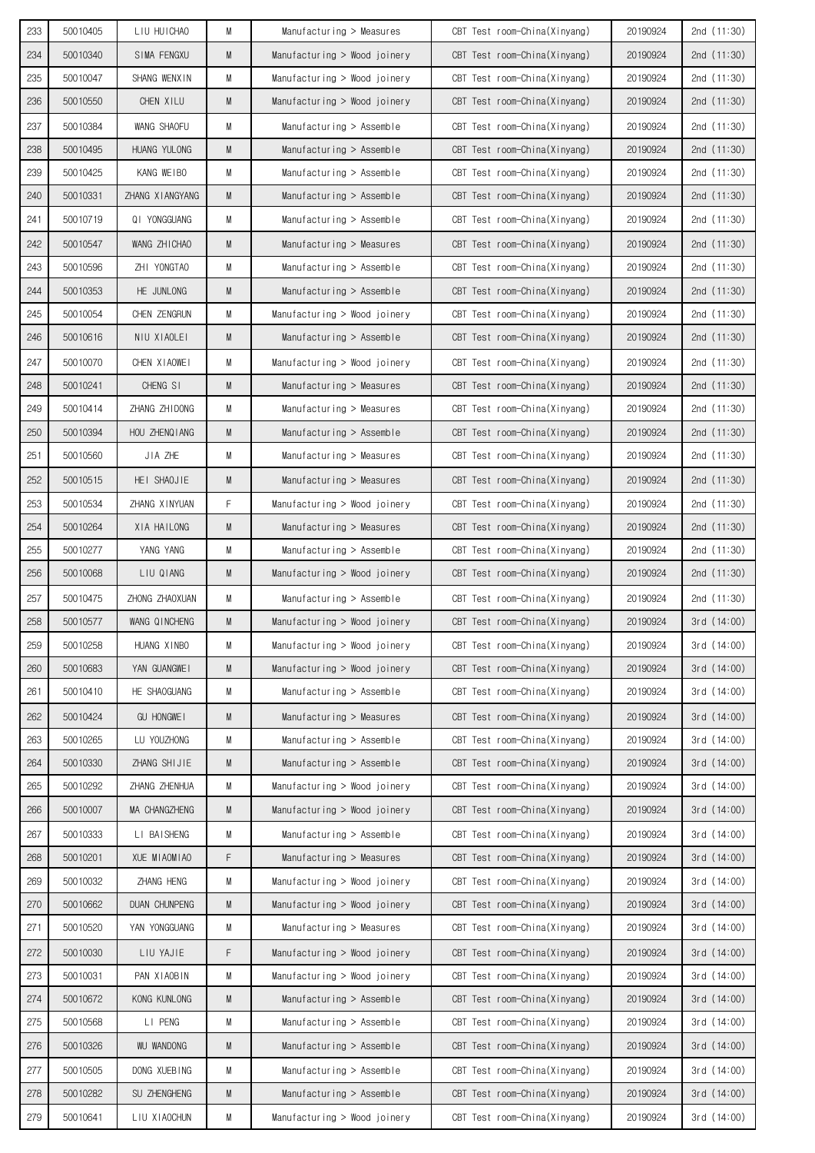| 233 | 50010405 | LIU HUICHAO          | M | Manufacturing > Measures       | CBT Test room-China(Xinyang) | 20190924 | 2nd (11:30)   |
|-----|----------|----------------------|---|--------------------------------|------------------------------|----------|---------------|
| 234 | 50010340 | SIMA FENGXU          | M | Manufacturing > Wood joinery   | CBT Test room-China(Xinyang) | 20190924 | 2nd $(11:30)$ |
| 235 | 50010047 | SHANG WENXIN         | M | Manufacturing > Wood joinery   | CBT Test room-China(Xinyang) | 20190924 | 2nd $(11:30)$ |
| 236 | 50010550 | CHEN XILU            | M | Manufacturing > Wood joinery   | CBT Test room-China(Xinyang) | 20190924 | 2nd $(11:30)$ |
| 237 | 50010384 | WANG SHAOFU          | M | Manufacturing > Assemble       | CBT Test room-China(Xinyang) | 20190924 | 2nd (11:30)   |
| 238 | 50010495 | HUANG YULONG         | M | Manufacturing $>$ Assemble     | CBT Test room-China(Xinyang) | 20190924 | 2nd $(11:30)$ |
| 239 | 50010425 | KANG WEIBO           | М | Manufacturing $>$ Assemble     | CBT Test room-China(Xinyang) | 20190924 | 2nd $(11:30)$ |
| 240 | 50010331 | ZHANG XIANGYANG      | M | $M$ anufacturing > Assemble    | CBT Test room-China(Xinyang) | 20190924 | 2nd (11:30)   |
| 241 | 50010719 | QI YONGGUANG         | M | Manufacturing $>$ Assemble     | CBT Test room-China(Xinyang) | 20190924 | 2nd $(11:30)$ |
| 242 | 50010547 | WANG ZHICHAO         | M | Manufacturing $>$ Measures     | CBT Test room-China(Xinyang) | 20190924 | 2nd (11:30)   |
| 243 | 50010596 | ZHI YONGTAO          | М | Manufacturing $>$ Assemble     | CBT Test room-China(Xinyang) | 20190924 | 2nd $(11:30)$ |
| 244 | 50010353 | HE JUNLONG           | M | $M$ anufacturing > Assemble    | CBT Test room-China(Xinyang) | 20190924 | 2nd $(11:30)$ |
| 245 | 50010054 | CHEN ZENGRUN         | M | Manufacturing > Wood joinery   | CBT Test room-China(Xinyang) | 20190924 | 2nd $(11:30)$ |
| 246 | 50010616 | NIU XIAOLEI          | M | Manufacturing $>$ Assemble     | CBT Test room-China(Xinyang) | 20190924 | 2nd $(11:30)$ |
| 247 | 50010070 | CHEN XIAOWEI         | М | Manufacturing > Wood joinery   | CBT Test room-China(Xinyang) | 20190924 | 2nd (11:30)   |
| 248 | 50010241 | CHENG SI             | M | Manufacturing $>$ Measures     | CBT Test room-China(Xinyang) | 20190924 | 2nd $(11:30)$ |
| 249 | 50010414 | ZHANG ZHIDONG        | М | Manufacturing $>$ Measures     | CBT Test room-China(Xinyang) | 20190924 | 2nd $(11:30)$ |
| 250 | 50010394 | HOU ZHENQIANG        | M | Manufacturing $>$ Assemble     | CBT Test room-China(Xinyang) | 20190924 | 2nd (11:30)   |
| 251 | 50010560 | JIA ZHE              | M | Manufacturing $>$ Measures     | CBT Test room-China(Xinyang) | 20190924 | 2nd $(11:30)$ |
| 252 | 50010515 | HEI SHAOJIE          | M | Manufacturing $>$ Measures     | CBT Test room-China(Xinyang) | 20190924 | 2nd $(11:30)$ |
| 253 | 50010534 | ZHANG XINYUAN        | F | Manufacturing > Wood joinery   | CBT Test room-China(Xinyang) | 20190924 | 2nd $(11:30)$ |
| 254 | 50010264 | XIA HAILONG          | M | Manufacturing $>$ Measures     | CBT Test room-China(Xinyang) | 20190924 | 2nd $(11:30)$ |
| 255 | 50010277 | YANG YANG            | M | Manufacturing $>$ Assemble     | CBT Test room-China(Xinyang) | 20190924 | 2nd (11:30)   |
| 256 | 50010068 | LIU QIANG            | M | Manufacturing $>$ Wood joinery | CBT Test room-China(Xinyang) | 20190924 | 2nd $(11:30)$ |
| 257 | 50010475 | ZHONG ZHAOXUAN       | М | Manufacturing $>$ Assemble     | CBT Test room-China(Xinyang) | 20190924 | 2nd (11:30)   |
| 258 | 50010577 | WANG QINCHENG        | M | Manufacturing $>$ Wood joinery | CBT Test room-China(Xinyang) | 20190924 | 3rd (14:00)   |
| 259 | 50010258 | HUANG XINBO          | M | Manufacturing > Wood joinery   | CBT Test room-China(Xinyang) | 20190924 | 3rd (14:00)   |
| 260 | 50010683 | YAN GUANGWEI         | M | Manufacturing > Wood joinery   | CBT Test room-China(Xinyang) | 20190924 | 3rd(14:00)    |
| 261 | 50010410 | HE SHAOGUANG         | М | $M$ anufacturing > Assemble    | CBT Test room-China(Xinyang) | 20190924 | 3rd (14:00)   |
| 262 | 50010424 | <b>GU HONGWEI</b>    | M | Manufacturing > Measures       | CBT Test room-China(Xinyang) | 20190924 | 3rd(14:00)    |
| 263 | 50010265 | LU YOUZHONG          | М | Manufacturing > Assemble       | CBT Test room-China(Xinyang) | 20190924 | 3rd (14:00)   |
| 264 | 50010330 | ZHANG SHIJIE         | M | Manufacturing > Assemble       | CBT Test room-China(Xinyang) | 20190924 | 3rd (14:00)   |
| 265 | 50010292 | ZHANG ZHENHUA        | M | Manufacturing > Wood joinery   | CBT Test room-China(Xinyang) | 20190924 | 3rd (14:00)   |
| 266 | 50010007 | MA CHANGZHENG        | M | Manufacturing > Wood joinery   | CBT Test room-China(Xinyang) | 20190924 | 3rd(14:00)    |
| 267 | 50010333 | LI BAISHENG          | М | Manufacturing > Assemble       | CBT Test room-China(Xinyang) | 20190924 | 3rd (14:00)   |
| 268 | 50010201 | XUE MIAOMIAO         | F | Manufacturing > Measures       | CBT Test room-China(Xinyang) | 20190924 | 3rd(14:00)    |
| 269 | 50010032 | ZHANG HENG           | M | Manufacturing > Wood joinery   | CBT Test room-China(Xinyang) | 20190924 | 3rd(14:00)    |
| 270 | 50010662 | <b>DUAN CHUNPENG</b> | M | Manufacturing > Wood joinery   | CBT Test room-China(Xinyang) | 20190924 | 3rd(14:00)    |
| 271 | 50010520 | YAN YONGGUANG        | М | Manufacturing > Measures       | CBT Test room-China(Xinyang) | 20190924 | 3rd (14:00)   |
| 272 | 50010030 | LIU YAJIE            | F | Manufacturing > Wood joinery   | CBT Test room-China(Xinyang) | 20190924 | 3rd(14:00)    |
| 273 | 50010031 | PAN XIAOBIN          | М | Manufacturing > Wood joinery   | CBT Test room-China(Xinyang) | 20190924 | 3rd (14:00)   |
| 274 | 50010672 | KONG KUNLONG         | M | Manufacturing > Assemble       | CBT Test room-China(Xinyang) | 20190924 | 3rd(14:00)    |
| 275 | 50010568 | LI PENG              | М | Manufacturing > Assemble       | CBT Test room-China(Xinyang) | 20190924 | 3rd (14:00)   |
| 276 | 50010326 | <b>WU WANDONG</b>    | M | Manufacturing > Assemble       | CBT Test room-China(Xinyang) | 20190924 | 3rd(14:00)    |
| 277 | 50010505 | DONG XUEBING         | M | Manufacturing > Assemble       | CBT Test room-China(Xinyang) | 20190924 | 3rd(14:00)    |
| 278 | 50010282 | SU ZHENGHENG         | M | Manufacturing > Assemble       | CBT Test room-China(Xinyang) | 20190924 | 3rd(14:00)    |
| 279 | 50010641 | LIU XIAOCHUN         | М | Manufacturing > Wood joinery   | CBT Test room-China(Xinyang) | 20190924 | 3rd(14:00)    |
|     |          |                      |   |                                |                              |          |               |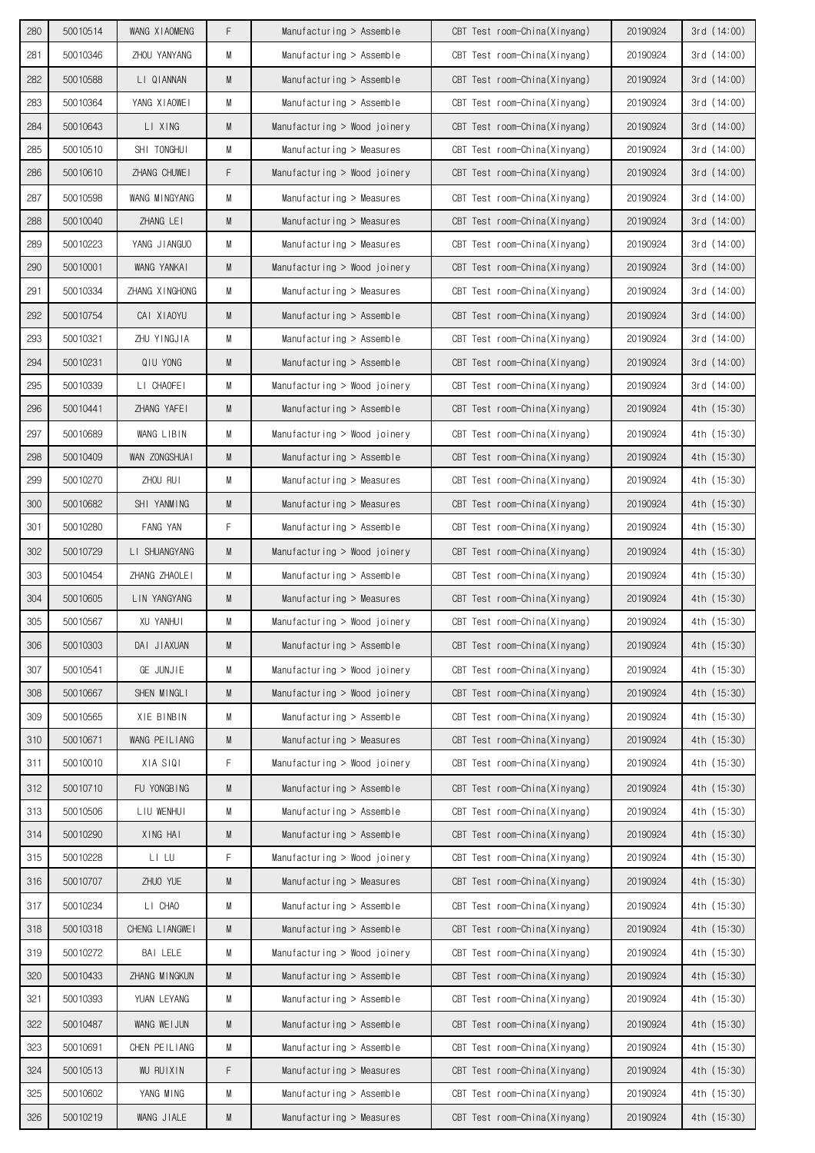| 280 | 50010514 | WANG XIAOMENG    | F | Manufacturing $>$ Assemble   | CBT Test room-China(Xinyang) | 20190924 | 3rd (14:00) |
|-----|----------|------------------|---|------------------------------|------------------------------|----------|-------------|
| 281 | 50010346 | ZHOU YANYANG     | М | Manufacturing $>$ Assemble   | CBT Test room-China(Xinyang) | 20190924 | 3rd(14:00)  |
| 282 | 50010588 | LI QIANNAN       | M | Manufacturing $>$ Assemble   | CBT Test room-China(Xinyang) | 20190924 | 3rd(14:00)  |
| 283 | 50010364 | YANG XIAOWEI     | М | Manufacturing $>$ Assemble   | CBT Test room-China(Xinyang) | 20190924 | 3rd(14:00)  |
| 284 | 50010643 | LI XING          | M | Manufacturing > Wood joinery | CBT Test room-China(Xinyang) | 20190924 | 3rd(14:00)  |
| 285 | 50010510 | SHI TONGHUI      | M | Manufacturing $>$ Measures   | CBT Test room-China(Xinyang) | 20190924 | 3rd(14:00)  |
| 286 | 50010610 | ZHANG CHUWE I    | F | Manufacturing > Wood joinery | CBT Test room-China(Xinyang) | 20190924 | 3rd(14:00)  |
| 287 | 50010598 | WANG MINGYANG    | M | Manufacturing $>$ Measures   | CBT Test room-China(Xinyang) | 20190924 | 3rd (14:00) |
| 288 | 50010040 | ZHANG LEI        | M | Manufacturing $>$ Measures   | CBT Test room-China(Xinyang) | 20190924 | 3rd(14:00)  |
| 289 | 50010223 | YANG JIANGUO     | М | Manufacturing > Measures     | CBT Test room-China(Xinyang) | 20190924 | 3rd(14:00)  |
| 290 | 50010001 | WANG YANKAI      | M | Manufacturing > Wood joinery | CBT Test room-China(Xinyang) | 20190924 | 3rd(14:00)  |
| 291 | 50010334 | ZHANG XINGHONG   | M | Manufacturing $>$ Measures   | CBT Test room-China(Xinyang) | 20190924 | 3rd(14:00)  |
| 292 | 50010754 | CAI XIAOYU       | M | Manufacturing $>$ Assemble   | CBT Test room-China(Xinyang) | 20190924 | 3rd(14:00)  |
| 293 | 50010321 | ZHU YINGJIA      | M | Manufacturing $>$ Assemble   | CBT Test room-China(Xinyang) | 20190924 | 3rd (14:00) |
| 294 | 50010231 | QIU YONG         | M | Manufacturing $>$ Assemble   | CBT Test room-China(Xinyang) | 20190924 | 3rd(14:00)  |
| 295 | 50010339 | LI CHAOFEI       | М | Manufacturing > Wood joinery | CBT Test room-China(Xinyang) | 20190924 | 3rd(14:00)  |
| 296 | 50010441 | ZHANG YAFEI      | M | Manufacturing > Assemble     | CBT Test room-China(Xinyang) | 20190924 | 4th (15:30) |
| 297 | 50010689 | WANG LIBIN       | M | Manufacturing > Wood joinery | CBT Test room-China(Xinyang) | 20190924 | 4th (15:30) |
| 298 | 50010409 | WAN ZONGSHUAI    | M | Manufacturing $>$ Assemble   | CBT Test room-China(Xinyang) | 20190924 | 4th (15:30) |
| 299 | 50010270 | ZHOU RUI         | M | Manufacturing $>$ Measures   | CBT Test room-China(Xinyang) | 20190924 | 4th (15:30) |
| 300 | 50010682 | SHI YANMING      | M | Manufacturing $>$ Measures   | CBT Test room-China(Xinyang) | 20190924 | 4th (15:30) |
| 301 | 50010280 | FANG YAN         | F | Manufacturing $>$ Assemble   | CBT Test room-China(Xinyang) | 20190924 | 4th (15:30) |
| 302 | 50010729 | LI SHUANGYANG    | M | Manufacturing > Wood joinery | CBT Test room-China(Xinyang) | 20190924 | 4th (15:30) |
| 303 | 50010454 | ZHANG ZHAOLEI    | M | Manufacturing $>$ Assemble   | CBT Test room-China(Xinyang) | 20190924 | 4th (15:30) |
| 304 | 50010605 | LIN YANGYANG     | M | Manufacturing > Measures     | CBT Test room-China(Xinyang) | 20190924 | 4th (15:30) |
| 305 | 50010567 | XU YANHUI        | М | Manufacturing > Wood joinery | CBT Test room-China(Xinyang) | 20190924 | 4th (15:30) |
| 306 | 50010303 | DAI JIAXUAN      | M | Manufacturing > Assemble     | CBT Test room-China(Xinyang) | 20190924 | 4th (15:30) |
| 307 | 50010541 | GE JUNJIE        | M | Manufacturing > Wood joinery | CBT Test room-China(Xinyang) | 20190924 | 4th (15:30) |
| 308 | 50010667 | SHEN MINGLI      | M | Manufacturing > Wood joinery | CBT Test room-China(Xinyang) | 20190924 | 4th (15:30) |
| 309 | 50010565 | XIE BINBIN       | M | Manufacturing > Assemble     | CBT Test room-China(Xinyang) | 20190924 | 4th (15:30) |
| 310 | 50010671 | WANG PEILIANG    | M | Manufacturing > Measures     | CBT Test room-China(Xinyang) | 20190924 | 4th (15:30) |
| 311 | 50010010 | XIA SIQI         | F | Manufacturing > Wood joinery | CBT Test room-China(Xinyang) | 20190924 | 4th (15:30) |
| 312 | 50010710 | FU YONGBING      | M | Manufacturing > Assemble     | CBT Test room-China(Xinyang) | 20190924 | 4th (15:30) |
| 313 | 50010506 | LIU WENHUI       | М | Manufacturing > Assemble     | CBT Test room-China(Xinyang) | 20190924 | 4th (15:30) |
| 314 | 50010290 | XING HAI         | M | Manufacturing > Assemble     | CBT Test room-China(Xinyang) | 20190924 | 4th (15:30) |
| 315 | 50010228 | LI LU            | F | Manufacturing > Wood joinery | CBT Test room-China(Xinyang) | 20190924 | 4th (15:30) |
| 316 | 50010707 | ZHUO YUE         | M | Manufacturing > Measures     | CBT Test room-China(Xinyang) | 20190924 | 4th (15:30) |
| 317 | 50010234 | LI CHAO          | M | Manufacturing > Assemble     | CBT Test room-China(Xinyang) | 20190924 | 4th (15:30) |
| 318 | 50010318 | CHENG LIANGWEI   | M | Manufacturing > Assemble     | CBT Test room-China(Xinyang) | 20190924 | 4th (15:30) |
| 319 | 50010272 | BAI LELE         | М | Manufacturing > Wood joinery | CBT Test room-China(Xinyang) | 20190924 | 4th (15:30) |
| 320 | 50010433 | ZHANG MINGKUN    | M | Manufacturing > Assemble     | CBT Test room-China(Xinyang) | 20190924 | 4th (15:30) |
| 321 | 50010393 | YUAN LEYANG      | М | Manufacturing > Assemble     | CBT Test room-China(Xinyang) | 20190924 | 4th (15:30) |
| 322 | 50010487 | WANG WEIJUN      | M | Manufacturing > Assemble     | CBT Test room-China(Xinyang) | 20190924 | 4th (15:30) |
| 323 | 50010691 | CHEN PEILIANG    | М | Manufacturing > Assemble     | CBT Test room-China(Xinyang) | 20190924 | 4th (15:30) |
| 324 | 50010513 | <b>WU RUIXIN</b> | F | Manufacturing > Measures     | CBT Test room-China(Xinyang) | 20190924 | 4th (15:30) |
| 325 | 50010602 | YANG MING        | М | Manufacturing > Assemble     | CBT Test room-China(Xinyang) | 20190924 | 4th (15:30) |
| 326 | 50010219 | WANG JIALE       | M | Manufacturing > Measures     | CBT Test room-China(Xinyang) | 20190924 | 4th (15:30) |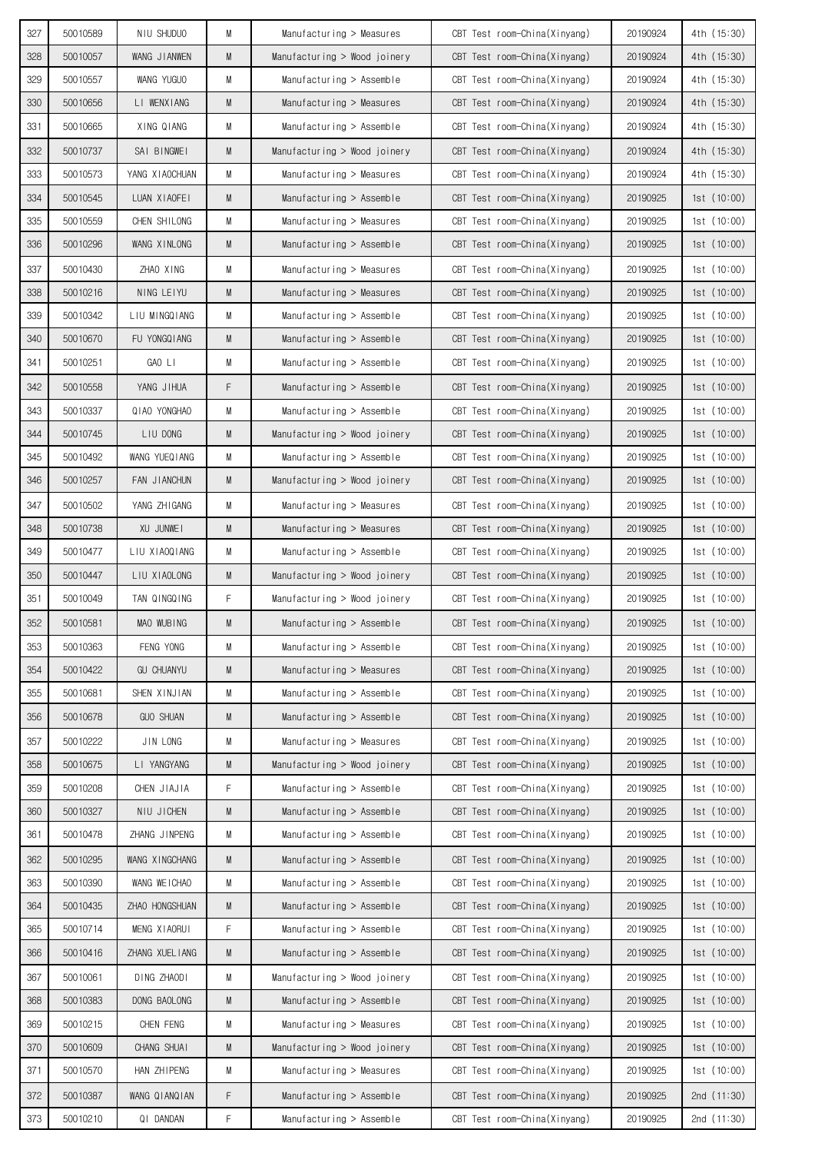| 327 | 50010589 | NIU SHUDUO        | М | Manufacturing > Measures       | CBT Test room-China(Xinyang) | 20190924 | 4th (15:30) |
|-----|----------|-------------------|---|--------------------------------|------------------------------|----------|-------------|
| 328 | 50010057 | WANG JIANWEN      | M | Manufacturing $>$ Wood joinery | CBT Test room-China(Xinyang) | 20190924 | 4th (15:30) |
| 329 | 50010557 | WANG YUGUO        | M | Manufacturing > Assemble       | CBT Test room-China(Xinyang) | 20190924 | 4th (15:30) |
| 330 | 50010656 | LI WENXIANG       | M | Manufacturing > Measures       | CBT Test room-China(Xinyang) | 20190924 | 4th (15:30) |
| 331 | 50010665 | XING QIANG        | M | Manufacturing $>$ Assemble     | CBT Test room-China(Xinyang) | 20190924 | 4th (15:30) |
| 332 | 50010737 | SAI BINGWEI       | M | Manufacturing $>$ Wood joinery | CBT Test room-China(Xinyang) | 20190924 | 4th (15:30) |
| 333 | 50010573 | YANG XIAOCHUAN    | M | Manufacturing $>$ Measures     | CBT Test room-China(Xinyang) | 20190924 | 4th (15:30) |
| 334 | 50010545 | LUAN XIAOFEI      | M | Manufacturing $>$ Assemble     | CBT Test room-China(Xinyang) | 20190925 | 1st(10:00)  |
| 335 | 50010559 | CHEN SHILONG      | M | Manufacturing $>$ Measures     | CBT Test room-China(Xinyang) | 20190925 | 1st(10:00)  |
| 336 | 50010296 | WANG XINLONG      | M | $M$ anufacturing > Assemble    | CBT Test room-China(Xinyang) | 20190925 | 1st(10:00)  |
| 337 | 50010430 | ZHAO XING         | M | Manufacturing $>$ Measures     | CBT Test room-China(Xinyang) | 20190925 | 1st(10:00)  |
| 338 | 50010216 | NING LEIYU        | M | Manufacturing > Measures       | CBT Test room-China(Xinyang) | 20190925 | 1st(10:00)  |
| 339 | 50010342 | LIU MINGQIANG     | M | Manufacturing $>$ Assemble     | CBT Test room-China(Xinyang) | 20190925 | 1st(10:00)  |
| 340 | 50010670 | FU YONGQ I ANG    | M | Manufacturing $>$ Assemble     | CBT Test room-China(Xinyang) | 20190925 | 1st(10:00)  |
| 341 | 50010251 | GAO LI            | M | Manufacturing $>$ Assemble     | CBT Test room-China(Xinyang) | 20190925 | 1st(10:00)  |
| 342 | 50010558 | YANG JIHUA        | F | Manufacturing $>$ Assemble     | CBT Test room-China(Xinyang) | 20190925 | 1st(10:00)  |
| 343 | 50010337 | QIAO YONGHAO      | M | Manufacturing $>$ Assemble     | CBT Test room-China(Xinyang) | 20190925 | 1st(10:00)  |
| 344 | 50010745 | LIU DONG          | M | Manufacturing $>$ Wood joinery | CBT Test room-China(Xinyang) | 20190925 | 1st(10:00)  |
| 345 | 50010492 | WANG YUEQIANG     | M | Manufacturing $>$ Assemble     | CBT Test room-China(Xinyang) | 20190925 | 1st(10:00)  |
| 346 | 50010257 | FAN JIANCHUN      | M | Manufacturing $>$ Wood joinery | CBT Test room-China(Xinyang) | 20190925 | 1st(10:00)  |
| 347 | 50010502 | YANG ZHIGANG      | M | Manufacturing > Measures       | CBT Test room-China(Xinyang) | 20190925 | 1st(10:00)  |
| 348 | 50010738 | XU JUNWEI         | M | Manufacturing $>$ Measures     | CBT Test room-China(Xinyang) | 20190925 | 1st(10:00)  |
| 349 | 50010477 | LIU XIAOQIANG     | M | Manufacturing $>$ Assemble     | CBT Test room-China(Xinyang) | 20190925 | 1st(10:00)  |
| 350 | 50010447 | LIU XIAOLONG      | M | Manufacturing $>$ Wood joinery | CBT Test room-China(Xinyang) | 20190925 | 1st(10:00)  |
| 351 | 50010049 | TAN QINGQING      | F | Manufacturing > Wood joinery   | CBT Test room-China(Xinyang) | 20190925 | 1st(10:00)  |
| 352 | 50010581 | MAO WUBING        | M | Manufacturing $>$ Assemble     | CBT Test room-China(Xinyang) | 20190925 | 1st(10:00)  |
| 353 | 50010363 | FENG YONG         | M | Manufacturing > Assemble       | CBT Test room-China(Xinyang) | 20190925 | 1st(10:00)  |
| 354 | 50010422 | <b>GU CHUANYU</b> | M | Manufacturing > Measures       | CBT Test room-China(Xinyang) | 20190925 | 1st(10:00)  |
| 355 | 50010681 | SHEN XINJIAN      | M | Manufacturing > Assemble       | CBT Test room-China(Xinyang) | 20190925 | 1st(10:00)  |
| 356 | 50010678 | <b>GUO SHUAN</b>  | M | Manufacturing > Assemble       | CBT Test room-China(Xinyang) | 20190925 | 1st(10:00)  |
| 357 | 50010222 | JIN LONG          | M | Manufacturing > Measures       | CBT Test room-China(Xinyang) | 20190925 | 1st(10:00)  |
| 358 | 50010675 | LI YANGYANG       | M | Manufacturing > Wood joinery   | CBT Test room-China(Xinyang) | 20190925 | 1st(10:00)  |
| 359 | 50010208 | CHEN JIAJIA       | F | Manufacturing > Assemble       | CBT Test room-China(Xinyang) | 20190925 | 1st(10:00)  |
| 360 | 50010327 | NIU JICHEN        | M | Manufacturing > Assemble       | CBT Test room-China(Xinyang) | 20190925 | 1st (10:00) |
| 361 | 50010478 | ZHANG JINPENG     | M | Manufacturing > Assemble       | CBT Test room-China(Xinyang) | 20190925 | 1st(10:00)  |
| 362 | 50010295 | WANG XINGCHANG    | M | Manufacturing > Assemble       | CBT Test room-China(Xinyang) | 20190925 | 1st(10:00)  |
| 363 | 50010390 | WANG WEICHAO      | M | Manufacturing > Assemble       | CBT Test room-China(Xinyang) | 20190925 | 1st(10:00)  |
| 364 | 50010435 | ZHAO HONGSHUAN    | M | Manufacturing > Assemble       | CBT Test room-China(Xinyang) | 20190925 | 1st(10:00)  |
| 365 | 50010714 | MENG XIAORUI      | F | Manufacturing > Assemble       | CBT Test room-China(Xinyang) | 20190925 | 1st(10:00)  |
| 366 | 50010416 | ZHANG XUEL I ANG  | M | Manufacturing > Assemble       | CBT Test room-China(Xinyang) | 20190925 | 1st(10:00)  |
| 367 | 50010061 | DING ZHAODI       | М | Manufacturing > Wood joinery   | CBT Test room-China(Xinyang) | 20190925 | 1st(10:00)  |
| 368 | 50010383 | DONG BAOLONG      | M | Manufacturing > Assemble       | CBT Test room-China(Xinyang) | 20190925 | 1st(10:00)  |
| 369 | 50010215 | CHEN FENG         | М | Manufacturing > Measures       | CBT Test room-China(Xinyang) | 20190925 | 1st(10:00)  |
| 370 | 50010609 | CHANG SHUAI       | M | Manufacturing > Wood joinery   | CBT Test room-China(Xinyang) | 20190925 | 1st(10:00)  |
| 371 | 50010570 | HAN ZHIPENG       | M | Manufacturing > Measures       | CBT Test room-China(Xinyang) | 20190925 | 1st(10:00)  |
| 372 | 50010387 | WANG QIANQIAN     | F | Manufacturing > Assemble       | CBT Test room-China(Xinyang) | 20190925 | 2nd (11:30) |
| 373 | 50010210 | QI DANDAN         | F | Manufacturing > Assemble       | CBT Test room-China(Xinyang) | 20190925 | 2nd (11:30) |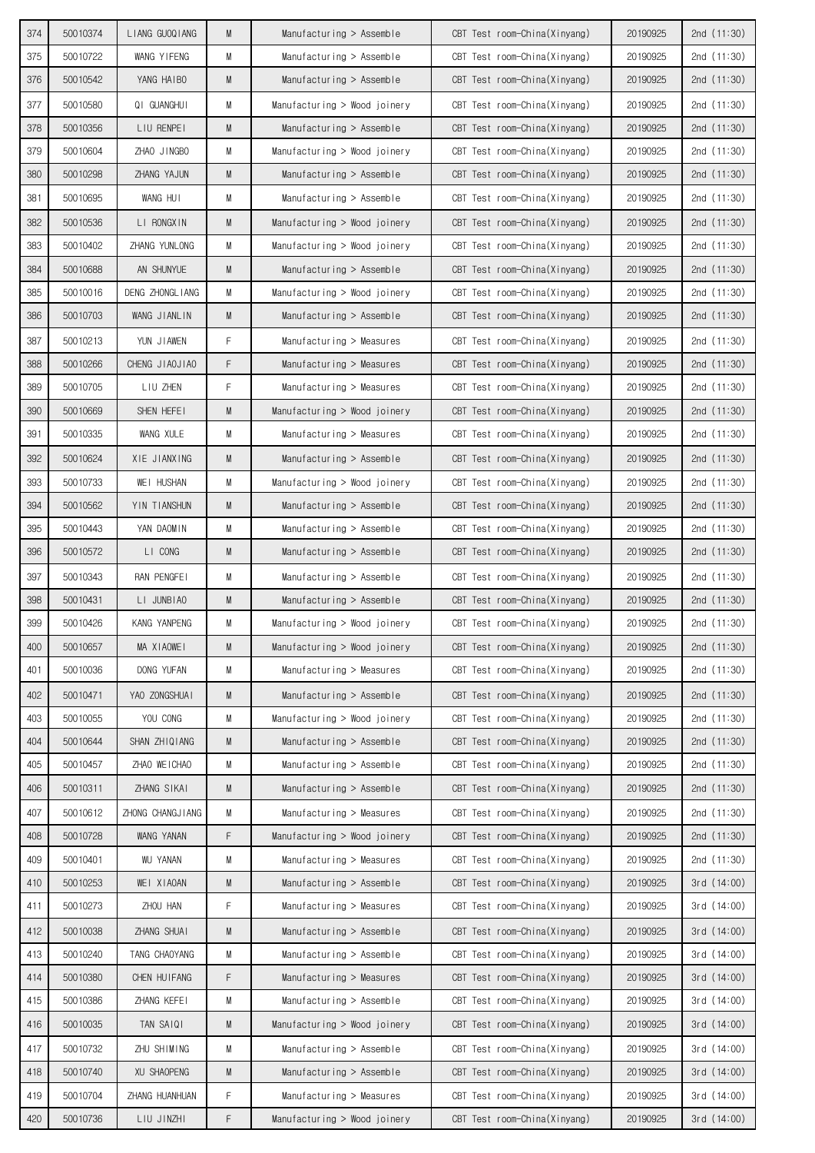| 374 | 50010374 | LIANG GUOQIANG   | M | $M$ anufacturing > Assemble  | CBT Test room-China(Xinyang) | 20190925 | 2nd $(11:30)$ |
|-----|----------|------------------|---|------------------------------|------------------------------|----------|---------------|
| 375 | 50010722 | WANG YIFENG      | М | Manufacturing > Assemble     | CBT Test room-China(Xinyang) | 20190925 | 2nd $(11:30)$ |
| 376 | 50010542 | YANG HAIBO       | M | Manufacturing $>$ Assemble   | CBT Test room-China(Xinyang) | 20190925 | 2nd (11:30)   |
| 377 | 50010580 | QI GUANGHUI      | M | Manufacturing > Wood joinery | CBT Test room-China(Xinyang) | 20190925 | 2nd (11:30)   |
| 378 | 50010356 | LIU RENPEI       | M | Manufacturing $>$ Assemble   | CBT Test room-China(Xinyang) | 20190925 | 2nd $(11:30)$ |
| 379 | 50010604 | ZHAO JINGBO      | M | Manufacturing > Wood joinery | CBT Test room-China(Xinyang) | 20190925 | 2nd (11:30)   |
| 380 | 50010298 | ZHANG YAJUN      | M | Manufacturing $>$ Assemble   | CBT Test room-China(Xinyang) | 20190925 | 2nd $(11:30)$ |
| 381 | 50010695 | WANG HUI         | М | Manufacturing $>$ Assemble   | CBT Test room-China(Xinyang) | 20190925 | 2nd $(11:30)$ |
| 382 | 50010536 | LI RONGXIN       | M | Manufacturing > Wood joinery | CBT Test room-China(Xinyang) | 20190925 | 2nd $(11:30)$ |
| 383 | 50010402 | ZHANG YUNLONG    | M | Manufacturing > Wood joinery | CBT Test room-China(Xinyang) | 20190925 | 2nd $(11:30)$ |
| 384 | 50010688 | AN SHUNYUE       | M | Manufacturing $>$ Assemble   | CBT Test room-China(Xinyang) | 20190925 | 2nd $(11:30)$ |
| 385 | 50010016 | DENG ZHONGLIANG  | М | Manufacturing > Wood joinery | CBT Test room-China(Xinyang) | 20190925 | 2nd $(11:30)$ |
| 386 | 50010703 | WANG JIANLIN     | M | Manufacturing $>$ Assemble   | CBT Test room-China(Xinyang) | 20190925 | 2nd $(11:30)$ |
| 387 | 50010213 | YUN JIAWEN       | F | Manufacturing > Measures     | CBT Test room-China(Xinyang) | 20190925 | 2nd (11:30)   |
| 388 | 50010266 | CHENG JIAOJIAO   | F | Manufacturing $>$ Measures   | CBT Test room-China(Xinyang) | 20190925 | 2nd $(11:30)$ |
| 389 | 50010705 | LIU ZHEN         | F | Manufacturing $>$ Measures   | CBT Test room-China(Xinyang) | 20190925 | 2nd $(11:30)$ |
| 390 | 50010669 | SHEN HEFEI       | M | Manufacturing > Wood joinery | CBT Test room-China(Xinyang) | 20190925 | 2nd $(11:30)$ |
| 391 | 50010335 | WANG XULE        | М | Manufacturing $>$ Measures   | CBT Test room-China(Xinyang) | 20190925 | 2nd $(11:30)$ |
| 392 | 50010624 | XIE JIANXING     | M | Manufacturing $>$ Assemble   | CBT Test room-China(Xinyang) | 20190925 | 2nd (11:30)   |
| 393 | 50010733 | WEI HUSHAN       | M | Manufacturing > Wood joinery | CBT Test room-China(Xinyang) | 20190925 | 2nd (11:30)   |
| 394 | 50010562 | YIN TIANSHUN     | M | Manufacturing $>$ Assemble   | CBT Test room-China(Xinyang) | 20190925 | 2nd $(11:30)$ |
| 395 | 50010443 | YAN DAOMIN       | М | Manufacturing $>$ Assemble   | CBT Test room-China(Xinyang) | 20190925 | 2nd $(11:30)$ |
| 396 | 50010572 | LI CONG          | M | Manufacturing $>$ Assemble   | CBT Test room-China(Xinyang) | 20190925 | 2nd $(11:30)$ |
| 397 | 50010343 | RAN PENGFEI      | М | Manufacturing $>$ Assemble   | CBT Test room-China(Xinyang) | 20190925 | 2nd $(11:30)$ |
| 398 | 50010431 | LI JUNBIAO       | M | Manufacturing $>$ Assemble   | CBT Test room-China(Xinyang) | 20190925 | 2nd $(11:30)$ |
| 399 | 50010426 | KANG YANPENG     | M | Manufacturing > Wood joinery | CBT Test room-China(Xinyang) | 20190925 | 2nd (11:30)   |
| 400 | 50010657 | MA XIAOWEI       | M | Manufacturing > Wood joinery | CBT Test room-China(Xinyang) | 20190925 | 2nd (11:30)   |
| 401 | 50010036 | DONG YUFAN       | М | Manufacturing > Measures     | CBT Test room-China(Xinyang) | 20190925 | 2nd (11:30)   |
| 402 | 50010471 | YAO ZONGSHUAI    | M | Manufacturing > Assemble     | CBT Test room-China(Xinyang) | 20190925 | 2nd (11:30)   |
| 403 | 50010055 | YOU CONG         | М | Manufacturing > Wood joinery | CBT Test room-China(Xinyang) | 20190925 | 2nd $(11:30)$ |
| 404 | 50010644 | SHAN ZHIQIANG    | M | Manufacturing > Assemble     | CBT Test room-China(Xinyang) | 20190925 | 2nd (11:30)   |
| 405 | 50010457 | ZHAO WEICHAO     | М | Manufacturing > Assemble     | CBT Test room-China(Xinyang) | 20190925 | 2nd (11:30)   |
| 406 | 50010311 | ZHANG SIKAI      | M | Manufacturing > Assemble     | CBT Test room-China(Xinyang) | 20190925 | 2nd $(11:30)$ |
| 407 | 50010612 | ZHONG CHANGJIANG | M | Manufacturing > Measures     | CBT Test room-China(Xinyang) | 20190925 | 2nd (11:30)   |
| 408 | 50010728 | WANG YANAN       | F | Manufacturing > Wood joinery | CBT Test room-China(Xinyang) | 20190925 | 2nd (11:30)   |
| 409 | 50010401 | <b>WU YANAN</b>  | М | Manufacturing > Measures     | CBT Test room-China(Xinyang) | 20190925 | 2nd (11:30)   |
| 410 | 50010253 | WEI XIAOAN       | M | Manufacturing > Assemble     | CBT Test room-China(Xinyang) | 20190925 | 3rd(14:00)    |
| 411 | 50010273 | ZHOU HAN         | F | Manufacturing > Measures     | CBT Test room-China(Xinyang) | 20190925 | 3rd (14:00)   |
| 412 | 50010038 | ZHANG SHUAI      | M | Manufacturing > Assemble     | CBT Test room-China(Xinyang) | 20190925 | 3rd(14:00)    |
| 413 | 50010240 | TANG CHAOYANG    | М | Manufacturing > Assemble     | CBT Test room-China(Xinyang) | 20190925 | 3rd(14:00)    |
| 414 | 50010380 | CHEN HUIFANG     | F | Manufacturing > Measures     | CBT Test room-China(Xinyang) | 20190925 | 3rd(14:00)    |
| 415 | 50010386 | ZHANG KEFEI      | M | Manufacturing > Assemble     | CBT Test room-China(Xinyang) | 20190925 | 3rd (14:00)   |
| 416 | 50010035 | TAN SAIQI        | M | Manufacturing > Wood joinery | CBT Test room-China(Xinyang) | 20190925 | 3rd(14:00)    |
| 417 | 50010732 | ZHU SHIMING      | М | Manufacturing > Assemble     | CBT Test room-China(Xinyang) | 20190925 | 3rd (14:00)   |
| 418 | 50010740 | XU SHAOPENG      | M | Manufacturing > Assemble     | CBT Test room-China(Xinyang) | 20190925 | 3rd(14:00)    |
| 419 | 50010704 | ZHANG HUANHUAN   | F | Manufacturing > Measures     | CBT Test room-China(Xinyang) | 20190925 | 3rd(14:00)    |
| 420 | 50010736 | LIU JINZHI       | F | Manufacturing > Wood joinery | CBT Test room-China(Xinyang) | 20190925 | 3rd (14:00)   |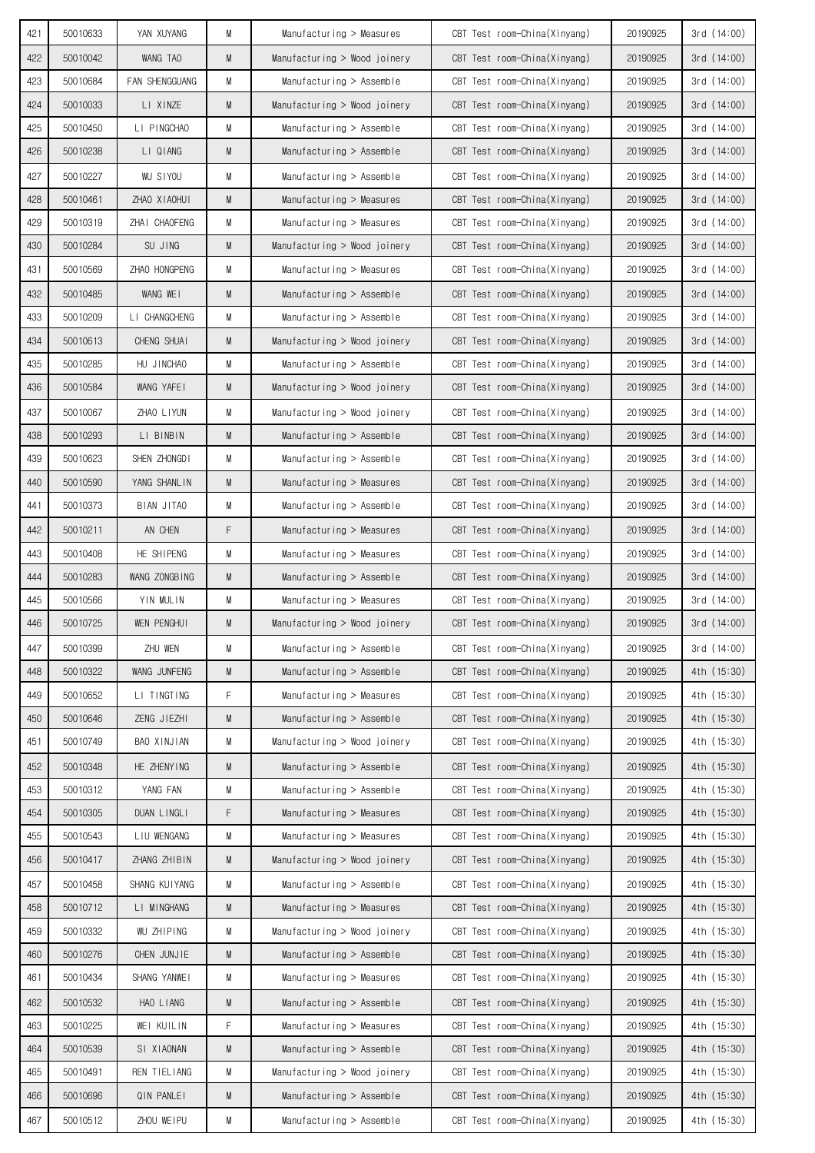| 421        | 50010633             | YAN XUYANG                 | M      | Manufacturing > Measures                             | CBT Test room-China(Xinyang)                                 | 20190925             | 3rd(14:00)                 |
|------------|----------------------|----------------------------|--------|------------------------------------------------------|--------------------------------------------------------------|----------------------|----------------------------|
| 422        | 50010042             | WANG TAO                   | M      | Manufacturing > Wood joinery                         | CBT Test room-China(Xinyang)                                 | 20190925             | 3rd(14:00)                 |
| 423        | 50010684             | FAN SHENGGUANG             | M      | Manufacturing $>$ Assemble                           | CBT Test room-China(Xinyang)                                 | 20190925             | 3rd(14:00)                 |
| 424        | 50010033             | LI XINZE                   | M      | Manufacturing > Wood joinery                         | CBT Test room-China(Xinyang)                                 | 20190925             | 3rd(14:00)                 |
| 425        | 50010450             | LI PINGCHAO                | М      | Manufacturing $>$ Assemble                           | CBT Test room-China(Xinyang)                                 | 20190925             | 3rd(14:00)                 |
| 426        | 50010238             | LI QIANG                   | M      | Manufacturing $>$ Assemble                           | CBT Test room-China(Xinyang)                                 | 20190925             | 3rd(14:00)                 |
| 427        | 50010227             | <b>WU SIYOU</b>            | M      | Manufacturing $>$ Assemble                           | CBT Test room-China(Xinyang)                                 | 20190925             | 3rd (14:00)                |
| 428        | 50010461             | ZHAO XIAOHUI               | M      | Manufacturing > Measures                             | CBT Test room-China(Xinyang)                                 | 20190925             | 3rd(14:00)                 |
| 429        | 50010319             | ZHAI CHAOFENG              | М      | Manufacturing $>$ Measures                           | CBT Test room-China(Xinyang)                                 | 20190925             | 3rd(14:00)                 |
| 430        | 50010284             | SU JING                    | M      | Manufacturing > Wood joinery                         | CBT Test room-China(Xinyang)                                 | 20190925             | 3rd(14:00)                 |
| 431        | 50010569             | ZHAO HONGPENG              | M      | Manufacturing $>$ Measures                           | CBT Test room-China(Xinyang)                                 | 20190925             | 3rd(14:00)                 |
| 432        | 50010485             | WANG WEI                   | M      | Manufacturing $>$ Assemble                           | CBT Test room-China(Xinyang)                                 | 20190925             | 3rd (14:00)                |
| 433        | 50010209             | LI CHANGCHENG              | M      | Manufacturing $>$ Assemble                           | CBT Test room-China(Xinyang)                                 | 20190925             | 3rd (14:00)                |
| 434        | 50010613             | CHENG SHUAI                | M      | Manufacturing > Wood joinery                         | CBT Test room-China(Xinyang)                                 | 20190925             | 3rd(14:00)                 |
| 435        | 50010285             | HU JINCHAO                 | M      | Manufacturing $>$ Assemble                           | CBT Test room-China(Xinyang)                                 | 20190925             | 3rd(14:00)                 |
| 436        | 50010584             | WANG YAFEI                 | M      | Manufacturing > Wood joinery                         | CBT Test room-China(Xinyang)                                 | 20190925             | 3rd(14:00)                 |
| 437        | 50010067             | ZHAO LIYUN                 | М      | Manufacturing > Wood joinery                         | CBT Test room-China(Xinyang)                                 | 20190925             | 3rd(14:00)                 |
| 438        | 50010293             | LI BINBIN                  | M      | Manufacturing $>$ Assemble                           | CBT Test room-China(Xinyang)                                 | 20190925             | 3rd(14:00)                 |
| 439        | 50010623             | SHEN ZHONGDI               | М      | Manufacturing $>$ Assemble                           | CBT Test room-China(Xinyang)                                 | 20190925             | 3rd(14:00)                 |
| 440        | 50010590             | YANG SHANLIN               | M      | Manufacturing $>$ Measures                           | CBT Test room-China(Xinyang)                                 | 20190925             | 3rd(14:00)                 |
| 441        | 50010373             | BIAN JITAO                 | M      | Manufacturing $>$ Assemble                           | CBT Test room-China(Xinyang)                                 | 20190925             | 3rd(14:00)                 |
| 442        | 50010211             | AN CHEN                    | F      | Manufacturing $>$ Measures                           | CBT Test room-China(Xinyang)                                 | 20190925             | 3rd(14:00)                 |
| 443        | 50010408             | HE SHIPENG                 | M      | Manufacturing > Measures                             | CBT Test room-China(Xinyang)                                 | 20190925             | 3rd(14:00)                 |
| 444        | 50010283             | WANG ZONGBING              | M      | Manufacturing $>$ Assemble                           | CBT Test room-China(Xinyang)                                 | 20190925             | 3rd(14:00)                 |
| 445        | 50010566             | YIN MULIN                  | M      | Manufacturing $>$ Measures                           | CBT Test room-China(Xinyang)                                 | 20190925             | 3rd(14:00)                 |
| 446        | 50010725             | <b>WEN PENGHUI</b>         | M      | Manufacturing > Wood joinery                         | CBT Test room-China(Xinyang)                                 | 20190925             | 3rd(14:00)                 |
| 447        | 50010399             | ZHU WEN                    | М      | Manufacturing > Assemble                             | CBT Test room-China(Xinyang)                                 | 20190925             | 3rd (14:00)                |
| 448        | 50010322             | WANG JUNFENG               | M      | Manufacturing > Assemble                             | CBT Test room-China(Xinyang)                                 | 20190925             | 4th (15:30)                |
| 449        | 50010652<br>50010646 | LI TINGTING<br>ZENG JIEZHI | F      | Manufacturing > Measures                             | CBT Test room-China(Xinyang)                                 | 20190925<br>20190925 | 4th (15:30)<br>4th (15:30) |
| 450<br>451 | 50010749             | BAO XINJIAN                | M<br>М | Manufacturing > Assemble                             | CBT Test room-China(Xinyang)<br>CBT Test room-China(Xinyang) | 20190925             | 4th (15:30)                |
|            |                      | HE ZHENYING                |        | Manufacturing > Wood joinery                         |                                                              |                      |                            |
| 452        | 50010348             | YANG FAN                   | M      | Manufacturing > Assemble<br>Manufacturing > Assemble | CBT Test room-China(Xinyang)<br>CBT Test room-China(Xinyang) | 20190925             | 4th (15:30)<br>4th (15:30) |
| 453<br>454 | 50010312<br>50010305 | DUAN LINGLI                | M<br>F | Manufacturing > Measures                             | CBT Test room-China(Xinyang)                                 | 20190925<br>20190925 | 4th (15:30)                |
| 455        | 50010543             | LIU WENGANG                | M      | Manufacturing > Measures                             | CBT Test room-China(Xinyang)                                 | 20190925             | 4th (15:30)                |
| 456        | 50010417             | ZHANG ZHIBIN               | M      | Manufacturing > Wood joinery                         | CBT Test room-China(Xinyang)                                 | 20190925             | 4th (15:30)                |
| 457        | 50010458             | SHANG KUIYANG              | М      | Manufacturing > Assemble                             | CBT Test room-China(Xinyang)                                 | 20190925             | 4th (15:30)                |
| 458        | 50010712             | LI MINGHANG                | M      | Manufacturing > Measures                             | CBT Test room-China(Xinyang)                                 | 20190925             | 4th (15:30)                |
| 459        | 50010332             | WU ZHIPING                 | M      | Manufacturing > Wood joinery                         | CBT Test room-China(Xinyang)                                 | 20190925             | 4th (15:30)                |
| 460        | 50010276             | CHEN JUNJIE                | M      | Manufacturing > Assemble                             | CBT Test room-China(Xinyang)                                 | 20190925             | 4th (15:30)                |
| 461        | 50010434             | SHANG YANWEI               | М      | Manufacturing > Measures                             | CBT Test room-China(Xinyang)                                 | 20190925             | 4th (15:30)                |
| 462        | 50010532             | HAO LIANG                  | M      | Manufacturing > Assemble                             | CBT Test room-China(Xinyang)                                 | 20190925             | 4th (15:30)                |
| 463        | 50010225             | WEI KUILIN                 | F      | Manufacturing > Measures                             | CBT Test room-China(Xinyang)                                 | 20190925             | 4th (15:30)                |
| 464        | 50010539             | SI XIAONAN                 | M      | Manufacturing > Assemble                             | CBT Test room-China(Xinyang)                                 | 20190925             | 4th (15:30)                |
| 465        | 50010491             | REN TIELIANG               | M      | Manufacturing > Wood joinery                         | CBT Test room-China(Xinyang)                                 | 20190925             | 4th (15:30)                |
| 466        | 50010696             | QIN PANLEI                 | M      | Manufacturing > Assemble                             | CBT Test room-China(Xinyang)                                 | 20190925             | 4th (15:30)                |
|            | 50010512             | ZHOU WEIPU                 |        | Manufacturing > Assemble                             | CBT Test room-China(Xinyang)                                 | 20190925             | 4th (15:30)                |
| 467        |                      |                            | М      |                                                      |                                                              |                      |                            |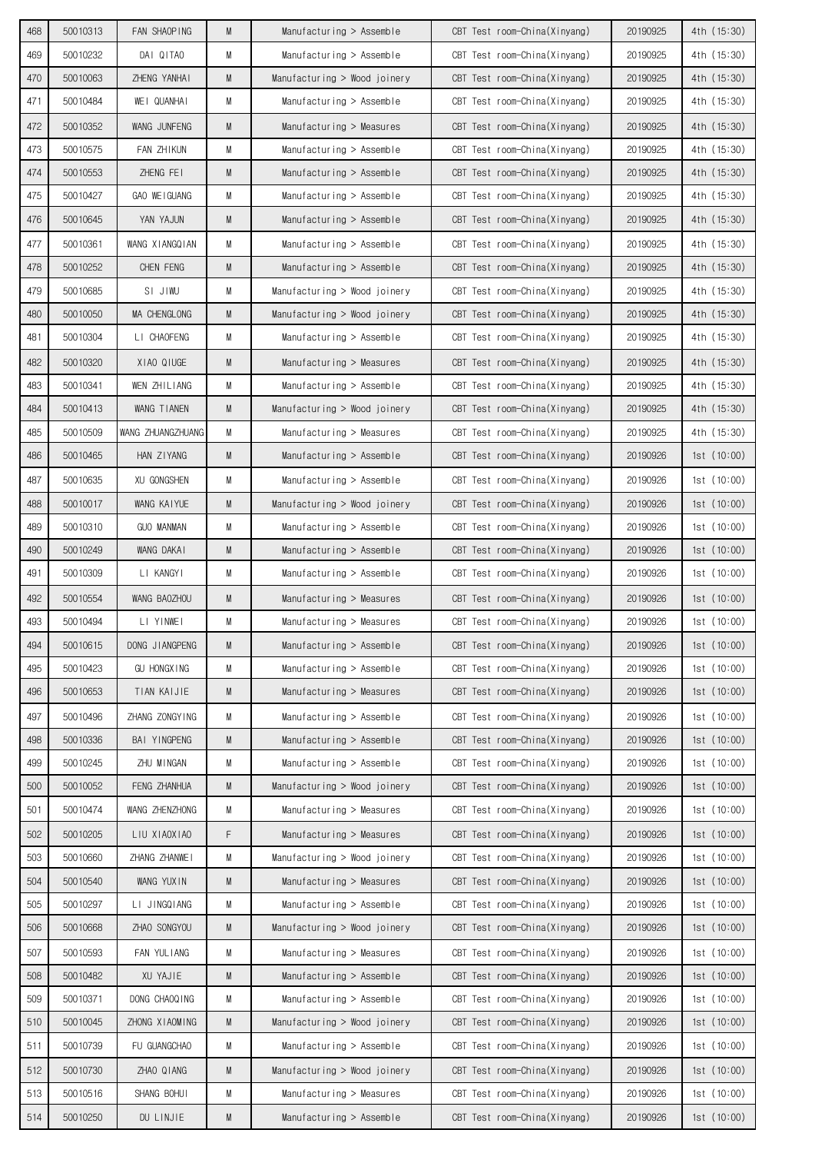| 468 | 50010313 | FAN SHAOPING       | M | Manufacturing $>$ Assemble   | CBT Test room-China(Xinyang) | 20190925 | 4th (15:30) |
|-----|----------|--------------------|---|------------------------------|------------------------------|----------|-------------|
| 469 | 50010232 | DAI QITAO          | M | Manufacturing > Assemble     | CBT Test room-China(Xinyang) | 20190925 | 4th (15:30) |
| 470 | 50010063 | ZHENG YANHAI       | M | Manufacturing > Wood joinery | CBT Test room-China(Xinyang) | 20190925 | 4th (15:30) |
| 471 | 50010484 | WEI QUANHAI        | M | $M$ anufacturing > Assemble  | CBT Test room-China(Xinyang) | 20190925 | 4th (15:30) |
| 472 | 50010352 | WANG JUNFENG       | M | Manufacturing $>$ Measures   | CBT Test room-China(Xinyang) | 20190925 | 4th (15:30) |
| 473 | 50010575 | <b>FAN ZHIKUN</b>  | M | Manufacturing $>$ Assemble   | CBT Test room-China(Xinyang) | 20190925 | 4th (15:30) |
| 474 | 50010553 | ZHENG FEI          | M | Manufacturing > Assemble     | CBT Test room-China(Xinyang) | 20190925 | 4th (15:30) |
| 475 | 50010427 | GAO WEIGUANG       | M | $M$ anufacturing > Assemble  | CBT Test room-China(Xinyang) | 20190925 | 4th (15:30) |
| 476 | 50010645 | YAN YAJUN          | M | Manufacturing $>$ Assemble   | CBT Test room-China(Xinyang) | 20190925 | 4th (15:30) |
| 477 | 50010361 | WANG XIANGQIAN     | M | Manufacturing $>$ Assemble   | CBT Test room-China(Xinyang) | 20190925 | 4th (15:30) |
| 478 | 50010252 | CHEN FENG          | M | Manufacturing $>$ Assemble   | CBT Test room-China(Xinyang) | 20190925 | 4th (15:30) |
| 479 | 50010685 | SI JIWU            | M | Manufacturing > Wood joinery | CBT Test room-China(Xinyang) | 20190925 | 4th (15:30) |
| 480 | 50010050 | MA CHENGLONG       | M | Manufacturing > Wood joinery | CBT Test room-China(Xinyang) | 20190925 | 4th (15:30) |
| 481 | 50010304 | LI CHAOFENG        | М | Manufacturing > Assemble     | CBT Test room-China(Xinyang) | 20190925 | 4th (15:30) |
| 482 | 50010320 | XIAO QIUGE         | M | Manufacturing > Measures     | CBT Test room-China(Xinyang) | 20190925 | 4th (15:30) |
| 483 | 50010341 | WEN ZHILIANG       | M | $M$ anufacturing > Assemble  | CBT Test room-China(Xinyang) | 20190925 | 4th (15:30) |
| 484 | 50010413 | WANG TIANEN        | M | Manufacturing > Wood joinery | CBT Test room-China(Xinyang) | 20190925 | 4th (15:30) |
| 485 | 50010509 | WANG ZHUANGZHUANG  | M | Manufacturing $>$ Measures   | CBT Test room-China(Xinyang) | 20190925 | 4th (15:30) |
| 486 | 50010465 | HAN ZIYANG         | M | Manufacturing $>$ Assemble   | CBT Test room-China(Xinyang) | 20190926 | 1st(10:00)  |
| 487 | 50010635 | XU GONGSHEN        | M | $M$ anufacturing > Assemble  | CBT Test room-China(Xinyang) | 20190926 | 1st(10:00)  |
| 488 | 50010017 | WANG KAIYUE        | M | Manufacturing > Wood joinery | CBT Test room-China(Xinyang) | 20190926 | 1st(10:00)  |
| 489 | 50010310 | <b>GUO MANMAN</b>  | M | Manufacturing $>$ Assemble   | CBT Test room-China(Xinyang) | 20190926 | 1st(10:00)  |
| 490 | 50010249 | WANG DAKAI         | M | Manufacturing $>$ Assemble   | CBT Test room-China(Xinyang) | 20190926 | 1st(10:00)  |
| 491 | 50010309 | LI KANGYI          | M | Manufacturing > Assemble     | CBT Test room-China(Xinyang) | 20190926 | 1st(10:00)  |
| 492 | 50010554 | WANG BAOZHOU       | M | Manufacturing $>$ Measures   | CBT Test room-China(Xinyang) | 20190926 | 1st(10:00)  |
| 493 | 50010494 | LI YINWEI          | M | $M$ anufacturing > Measures  | CBT Test room-China(Xinyang) | 20190926 | 1st(10:00)  |
| 494 | 50010615 | DONG JIANGPENG     | M | Manufacturing > Assemble     | CBT Test room-China(Xinyang) | 20190926 | 1st(10:00)  |
| 495 | 50010423 | <b>GU HONGXING</b> | M | Manufacturing > Assemble     | CBT Test room-China(Xinyang) | 20190926 | 1st(10:00)  |
| 496 | 50010653 | TIAN KAIJIE        | M | Manufacturing > Measures     | CBT Test room-China(Xinyang) | 20190926 | 1st(10:00)  |
| 497 | 50010496 | ZHANG ZONGYING     | M | Manufacturing > Assemble     | CBT Test room-China(Xinyang) | 20190926 | 1st(10:00)  |
| 498 | 50010336 | BAI YINGPENG       | M | Manufacturing > Assemble     | CBT Test room-China(Xinyang) | 20190926 | 1st(10:00)  |
| 499 | 50010245 | ZHU MINGAN         | М | Manufacturing > Assemble     | CBT Test room-China(Xinyang) | 20190926 | 1st(10:00)  |
| 500 | 50010052 | FENG ZHANHUA       | M | Manufacturing > Wood joinery | CBT Test room-China(Xinyang) | 20190926 | 1st(10:00)  |
| 501 | 50010474 | WANG ZHENZHONG     | M | Manufacturing > Measures     | CBT Test room-China(Xinyang) | 20190926 | 1st(10:00)  |
| 502 | 50010205 | LIU XIAOXIAO       | F | Manufacturing > Measures     | CBT Test room-China(Xinyang) | 20190926 | 1st(10:00)  |
| 503 | 50010660 | ZHANG ZHANWEI      | M | Manufacturing > Wood joinery | CBT Test room-China(Xinyang) | 20190926 | 1st(10:00)  |
| 504 | 50010540 | WANG YUXIN         | M | Manufacturing > Measures     | CBT Test room-China(Xinyang) | 20190926 | 1st(10:00)  |
| 505 | 50010297 | LI JINGQIANG       | M | Manufacturing > Assemble     | CBT Test room-China(Xinyang) | 20190926 | 1st(10:00)  |
| 506 | 50010668 | ZHAO SONGYOU       | M | Manufacturing > Wood joinery | CBT Test room-China(Xinyang) | 20190926 | 1st(10:00)  |
| 507 | 50010593 | FAN YULIANG        | M | Manufacturing > Measures     | CBT Test room-China(Xinyang) | 20190926 | 1st(10:00)  |
| 508 | 50010482 | XU YAJIE           | M | Manufacturing > Assemble     | CBT Test room-China(Xinyang) | 20190926 | 1st (10:00) |
| 509 | 50010371 | DONG CHAOQING      | М | Manufacturing > Assemble     | CBT Test room-China(Xinyang) | 20190926 | 1st(10:00)  |
| 510 | 50010045 | ZHONG XIAOMING     | M | Manufacturing > Wood joinery | CBT Test room-China(Xinyang) | 20190926 | 1st(10:00)  |
| 511 | 50010739 | FU GUANGCHAO       | M | Manufacturing $>$ Assemble   | CBT Test room-China(Xinyang) | 20190926 | 1st(10:00)  |
| 512 | 50010730 | ZHAO QIANG         | M | Manufacturing > Wood joinery | CBT Test room-China(Xinyang) | 20190926 | 1st(10:00)  |
| 513 | 50010516 | SHANG BOHUI        | M | Manufacturing > Measures     | CBT Test room-China(Xinyang) | 20190926 | 1st(10:00)  |
| 514 | 50010250 | DU LINJIE          | M | $M$ anufacturing > Assemble  | CBT Test room-China(Xinyang) | 20190926 | 1st(10:00)  |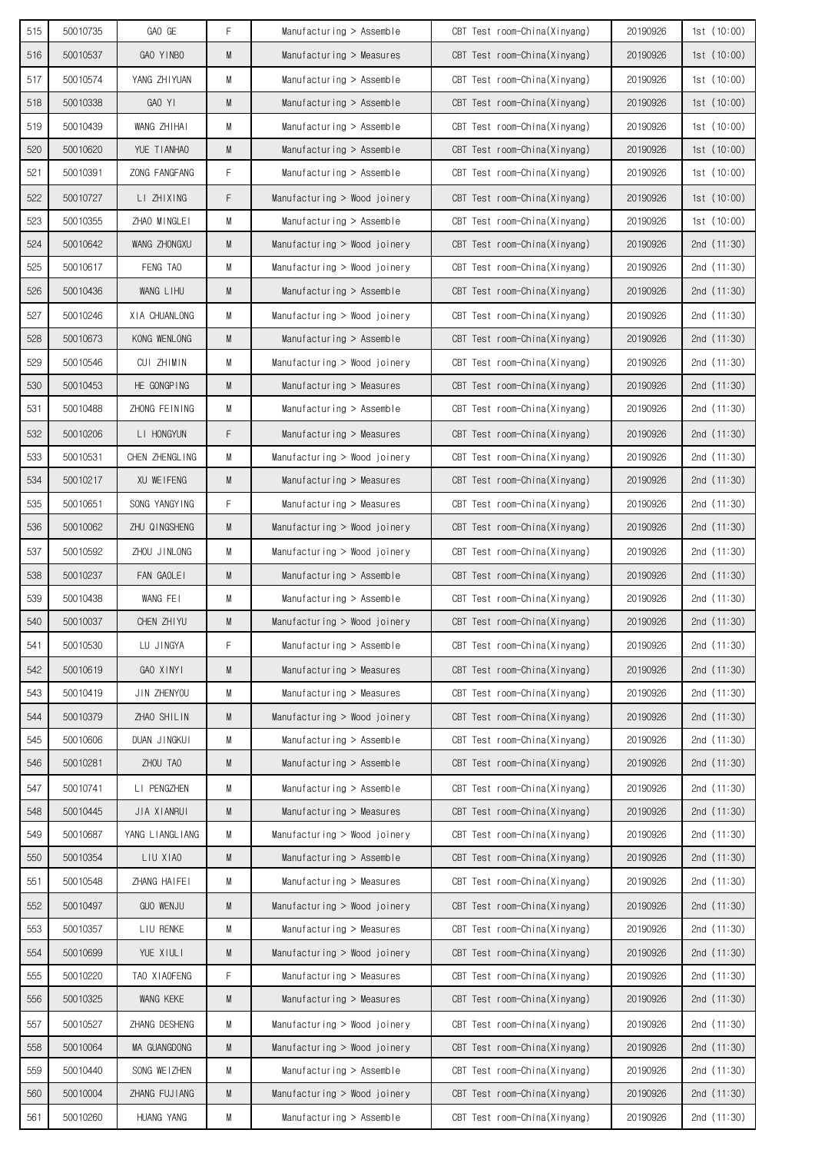|            |                      |                        | F. |                                                          |                                                              |                      |                           |
|------------|----------------------|------------------------|----|----------------------------------------------------------|--------------------------------------------------------------|----------------------|---------------------------|
| 515<br>516 | 50010735<br>50010537 | GAO GE<br>GAO YINBO    | M  | Manufacturing > Assemble                                 | CBT Test room-China(Xinyang)<br>CBT Test room-China(Xinyang) | 20190926<br>20190926 | 1st (10:00)<br>1st(10:00) |
| 517        | 50010574             |                        | M  | Manufacturing $>$ Measures                               |                                                              |                      | 1st(10:00)                |
| 518        | 50010338             | YANG ZHIYUAN<br>GAO YI | M  | Manufacturing $>$ Assemble<br>Manufacturing $>$ Assemble | CBT Test room-China(Xinyang)<br>CBT Test room-China(Xinyang) | 20190926<br>20190926 | 1st(10:00)                |
|            |                      |                        |    |                                                          |                                                              |                      |                           |
| 519        | 50010439             | WANG ZHIHAI            | М  | Manufacturing $>$ Assemble                               | CBT Test room-China(Xinyang)                                 | 20190926             | 1st(10:00)                |
| 520        | 50010620             | YUE TIANHAO            | M  | Manufacturing $>$ Assemble                               | CBT Test room-China(Xinyang)                                 | 20190926             | 1st(10:00)                |
| 521        | 50010391             | ZONG FANGFANG          | F  | Manufacturing $>$ Assemble                               | CBT Test room-China(Xinyang)                                 | 20190926             | 1st(10:00)                |
| 522        | 50010727             | LI ZHIXING             | F  | Manufacturing > Wood joinery                             | CBT Test room-China(Xinyang)                                 | 20190926             | 1st(10:00)                |
| 523        | 50010355             | ZHAO MINGLEI           | M  | Manufacturing $>$ Assemble                               | CBT Test room-China(Xinyang)                                 | 20190926             | 1st (10:00)               |
| 524        | 50010642             | WANG ZHONGXU           | M  | Manufacturing > Wood joinery                             | CBT Test room-China(Xinyang)                                 | 20190926             | 2nd $(11:30)$             |
| 525        | 50010617             | FENG TAO               | М  | Manufacturing > Wood joinery                             | CBT Test room-China(Xinyang)                                 | 20190926             | 2nd $(11:30)$             |
| 526        | 50010436             | WANG LIHU              | M  | Manufacturing $>$ Assemble                               | CBT Test room-China(Xinyang)                                 | 20190926             | 2nd $(11:30)$             |
| 527        | 50010246             | XIA CHUANLONG          | M  | Manufacturing > Wood joinery                             | CBT Test room-China(Xinyang)                                 | 20190926             | 2nd $(11:30)$             |
| 528        | 50010673             | KONG WENLONG           | M  | Manufacturing $>$ Assemble                               | CBT Test room-China(Xinyang)                                 | 20190926             | 2nd $(11:30)$             |
| 529        | 50010546             | CUI ZHIMIN             | М  | Manufacturing > Wood joinery                             | CBT Test room-China(Xinyang)                                 | 20190926             | 2nd $(11:30)$             |
| 530        | 50010453             | HE GONGPING            | M  | Manufacturing $>$ Measures                               | CBT Test room-China(Xinyang)                                 | 20190926             | 2nd $(11:30)$             |
| 531        | 50010488             | ZHONG FEINING          | М  | Manufacturing $>$ Assemble                               | CBT Test room-China(Xinyang)                                 | 20190926             | 2nd $(11:30)$             |
| 532        | 50010206             | LI HONGYUN             | F  | Manufacturing $>$ Measures                               | CBT Test room-China(Xinyang)                                 | 20190926             | 2nd $(11:30)$             |
| 533        | 50010531             | CHEN ZHENGLING         | M  | Manufacturing > Wood joinery                             | CBT Test room-China(Xinyang)                                 | 20190926             | 2nd (11:30)               |
| 534        | 50010217             | XU WEIFENG             | M  | Manufacturing $>$ Measures                               | CBT Test room-China(Xinyang)                                 | 20190926             | 2nd $(11:30)$             |
| 535        | 50010651             | SONG YANGYING          | F  | Manufacturing $>$ Measures                               | CBT Test room-China(Xinyang)                                 | 20190926             | 2nd $(11:30)$             |
| 536        | 50010062             | ZHU QINGSHENG          | M  | Manufacturing > Wood joinery                             | CBT Test room-China(Xinyang)                                 | 20190926             | 2nd $(11:30)$             |
| 537        | 50010592             | ZHOU JINLONG           | M  | Manufacturing > Wood joinery                             | CBT Test room-China(Xinyang)                                 | 20190926             | 2nd $(11:30)$             |
| 538        | 50010237             | FAN GAOLEI             | M  | Manufacturing $>$ Assemble                               | CBT Test room-China(Xinyang)                                 | 20190926             | 2nd $(11:30)$             |
| 539        | 50010438             | WANG FEI               | М  | Manufacturing $>$ Assemble                               | CBT Test room-China(Xinyang)                                 | 20190926             | 2nd $(11:30)$             |
| 540        | 50010037             | CHEN ZHIYU             | M  | Manufacturing $>$ Wood joinery                           | CBT Test room-China(Xinyang)                                 | 20190926             | 2nd (11:30)               |
| 541        | 50010530             | LU JINGYA              | F  | $M$ anufacturing > Assemble                              | CBT Test room-China(Xinyang)                                 | 20190926             | 2nd (11:30)               |
| 542        | 50010619             | GAO XINYI              | M  | Manufacturing > Measures                                 | CBT Test room-China(Xinyang)                                 | 20190926             | 2nd (11:30)               |
| 543        | 50010419             | JIN ZHENYOU            | М  | Manufacturing > Measures                                 | CBT Test room-China(Xinyang)                                 | 20190926             | 2nd (11:30)               |
| 544        | 50010379             | ZHAO SHILIN            | M  | Manufacturing > Wood joinery                             | CBT Test room-China(Xinyang)                                 | 20190926             | 2nd (11:30)               |
| 545        | 50010606             | DUAN JINGKUI           | M  | Manufacturing > Assemble                                 | CBT Test room-China(Xinyang)                                 | 20190926             | 2nd (11:30)               |
| 546        | 50010281             | ZHOU TAO               | M  | Manufacturing > Assemble                                 | CBT Test room-China(Xinyang)                                 | 20190926             | 2nd (11:30)               |
| 547        | 50010741             | LI PENGZHEN            | М  | Manufacturing > Assemble                                 | CBT Test room-China(Xinyang)                                 | 20190926             | 2nd (11:30)               |
| 548        | 50010445             | JIA XIANRUI            | M  | Manufacturing > Measures                                 | CBT Test room-China(Xinyang)                                 | 20190926             | 2nd (11:30)               |
| 549        | 50010687             | YANG LIANGLIANG        | М  | Manufacturing > Wood joinery                             | CBT Test room-China(Xinyang)                                 | 20190926             | 2nd (11:30)               |
| 550        | 50010354             | LIU XIAO               | M  | Manufacturing > Assemble                                 | CBT Test room-China(Xinyang)                                 | 20190926             | 2nd $(11:30)$             |
| 551        | 50010548             | ZHANG HAIFEI           | M  | Manufacturing > Measures                                 | CBT Test room-China(Xinyang)                                 | 20190926             | 2nd (11:30)               |
| 552        | 50010497             | GUO WENJU              | M  | Manufacturing > Wood joinery                             | CBT Test room-China(Xinyang)                                 | 20190926             | 2nd $(11:30)$             |
| 553        | 50010357             | LIU RENKE              | M  | Manufacturing > Measures                                 | CBT Test room-China(Xinyang)                                 | 20190926             | 2nd (11:30)               |
| 554        | 50010699             | YUE XIULI              | M  | Manufacturing > Wood joinery                             | CBT Test room-China(Xinyang)                                 |                      | 2nd (11:30)               |
| 555        | 50010220             |                        | F  |                                                          |                                                              | 20190926             | 2nd (11:30)               |
|            |                      | TAO XIAOFENG           |    | Manufacturing > Measures                                 | CBT Test room-China(Xinyang)                                 | 20190926             |                           |
| 556        | 50010325             | WANG KEKE              | M  | Manufacturing > Measures                                 | CBT Test room-China(Xinyang)                                 | 20190926             | 2nd (11:30)               |
| 557        | 50010527             | ZHANG DESHENG          | М  | Manufacturing > Wood joinery                             | CBT Test room-China(Xinyang)                                 | 20190926             | 2nd (11:30)               |
| 558        | 50010064             | MA GUANGDONG           | M  | Manufacturing > Wood joinery                             | CBT Test room-China(Xinyang)                                 | 20190926             | 2nd (11:30)               |
| 559        | 50010440             | SONG WEIZHEN           | M  | Manufacturing > Assemble                                 | CBT Test room-China(Xinyang)                                 | 20190926             | 2nd (11:30)               |
| 560        | 50010004             | ZHANG FUJIANG          | M  | Manufacturing > Wood joinery                             | CBT Test room-China(Xinyang)                                 | 20190926             | 2nd $(11:30)$             |
| 561        | 50010260             | HUANG YANG             | М  | Manufacturing > Assemble                                 | CBT Test room-China(Xinyang)                                 | 20190926             | 2nd $(11:30)$             |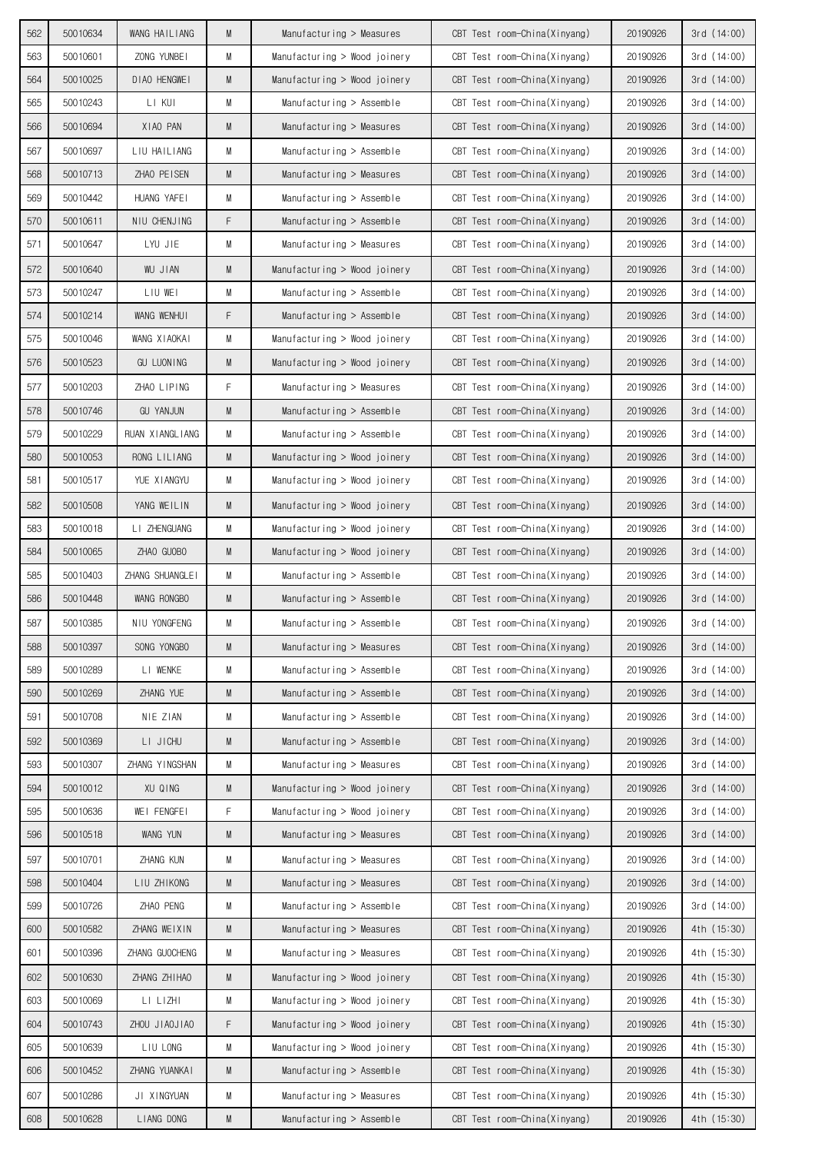| 562        | 50010634             | WANG HAILIANG            | M      | Manufacturing $>$ Measures                                   | CBT Test room-China(Xinyang)                                 | 20190926             | 3rd(14:00)                 |
|------------|----------------------|--------------------------|--------|--------------------------------------------------------------|--------------------------------------------------------------|----------------------|----------------------------|
| 563        | 50010601             | ZONG YUNBEI              | M      | Manufacturing > Wood joinery                                 | CBT Test room-China(Xinyang)                                 | 20190926             | 3rd (14:00)                |
| 564        | 50010025             | DIAO HENGWEI             | M      | Manufacturing $>$ Wood joinery                               | CBT Test room-China(Xinyang)                                 | 20190926             | 3rd(14:00)                 |
| 565        | 50010243             | LI KUI                   | M      | Manufacturing $>$ Assemble                                   | CBT Test room-China(Xinyang)                                 | 20190926             | 3rd(14:00)                 |
| 566        | 50010694             | XIAO PAN                 | M      | Manufacturing $>$ Measures                                   | CBT Test room-China(Xinyang)                                 | 20190926             | 3rd(14:00)                 |
| 567        | 50010697             | LIU HAILIANG             | M      | Manufacturing $>$ Assemble                                   | CBT Test room-China(Xinyang)                                 | 20190926             | 3rd(14:00)                 |
| 568        | 50010713             | ZHAO PEISEN              | M      | Manufacturing $>$ Measures                                   | CBT Test room-China(Xinyang)                                 | 20190926             | 3rd(14:00)                 |
| 569        | 50010442             | HUANG YAFEI              | М      | Manufacturing $>$ Assemble                                   | CBT Test room-China(Xinyang)                                 | 20190926             | 3rd(14:00)                 |
| 570        | 50010611             | NIU CHENJING             | F      | Manufacturing $>$ Assemble                                   | CBT Test room-China(Xinyang)                                 | 20190926             | 3rd(14:00)                 |
| 571        | 50010647             | LYU JIE                  | М      | Manufacturing $>$ Measures                                   | CBT Test room-China(Xinyang)                                 | 20190926             | 3rd(14:00)                 |
| 572        | 50010640             | <b>WU JIAN</b>           | M      | Manufacturing > Wood joinery                                 | CBT Test room-China(Xinyang)                                 | 20190926             | 3rd (14:00)                |
| 573        | 50010247             | LIU WEI                  | М      | Manufacturing $>$ Assemble                                   | CBT Test room-China(Xinyang)                                 | 20190926             | 3rd (14:00)                |
| 574        | 50010214             | WANG WENHUI              | F      | Manufacturing $>$ Assemble                                   | CBT Test room-China(Xinyang)                                 | 20190926             | 3rd(14:00)                 |
| 575        | 50010046             | WANG XIAOKAI             | M      | Manufacturing > Wood joinery                                 | CBT Test room-China(Xinyang)                                 | 20190926             | 3rd (14:00)                |
| 576        | 50010523             | <b>GU LUONING</b>        | M      | Manufacturing > Wood joinery                                 | CBT Test room-China(Xinyang)                                 | 20190926             | 3rd(14:00)                 |
| 577        | 50010203             | ZHAO LIPING              | F      | Manufacturing > Measures                                     | CBT Test room-China(Xinyang)                                 | 20190926             | 3rd(14:00)                 |
| 578        | 50010746             | <b>GU YANJUN</b>         | M      | Manufacturing $>$ Assemble                                   | CBT Test room-China(Xinyang)                                 | 20190926             | 3rd(14:00)                 |
| 579        | 50010229             | RUAN XIANGLIANG          | M      | Manufacturing $>$ Assemble                                   | CBT Test room-China(Xinyang)                                 | 20190926             | 3rd (14:00)                |
| 580        | 50010053             | RONG LILIANG             | M      | Manufacturing > Wood joinery                                 | CBT Test room-China(Xinyang)                                 | 20190926             | 3rd(14:00)                 |
| 581        | 50010517             | YUE XIANGYU              | М      | Manufacturing > Wood joinery                                 | CBT Test room-China(Xinyang)                                 | 20190926             | 3rd(14:00)                 |
| 582        | 50010508             | YANG WEILIN              | M      | Manufacturing > Wood joinery                                 | CBT Test room-China(Xinyang)                                 | 20190926             | 3rd(14:00)                 |
| 583        | 50010018             | LI ZHENGUANG             | M      | Manufacturing > Wood joinery                                 | CBT Test room-China(Xinyang)                                 | 20190926             | 3rd (14:00)                |
| 584        | 50010065             | ZHAO GUOBO               | M      | Manufacturing > Wood joinery                                 | CBT Test room-China(Xinyang)                                 | 20190926             | 3rd(14:00)                 |
| 585        | 50010403             | ZHANG SHUANGLEI          | M      | Manufacturing $>$ Assemble                                   | CBT Test room-China(Xinyang)                                 | 20190926             | 3rd (14:00)                |
| 586        | 50010448             | WANG RONGBO              | M      | Manufacturing $>$ Assemble                                   | CBT Test room-China(Xinyang)                                 | 20190926             | 3rd(14:00)                 |
| 587        | 50010385             | NIU YONGFENG             | M      | Manufacturing $>$ Assemble                                   | CBT Test room-China(Xinyang)                                 | 20190926             | 3rd (14:00)                |
| 588        | 50010397             | SONG YONGBO              | M      | Manufacturing > Measures                                     | CBT Test room-China(Xinyang)                                 | 20190926             | 3rd (14:00)                |
| 589        | 50010289             | LI WENKE                 | M      | Manufacturing > Assemble                                     | CBT Test room-China(Xinyang)                                 | 20190926             | 3rd (14:00)                |
| 590        | 50010269             | ZHANG YUE                | M      | Manufacturing > Assemble                                     | CBT Test room-China(Xinyang)                                 | 20190926             | 3rd (14:00)                |
| 591        | 50010708             | NIE ZIAN                 | M      | Manufacturing > Assemble                                     | CBT Test room-China(Xinyang)                                 | 20190926             | 3rd(14:00)                 |
| 592        | 50010369             | LI JICHU                 | M      | Manufacturing > Assemble                                     | CBT Test room-China(Xinyang)                                 | 20190926             | 3rd(14:00)                 |
| 593        | 50010307             | ZHANG YINGSHAN           | М      | Manufacturing > Measures                                     | CBT Test room-China(Xinyang)                                 | 20190926             | 3rd (14:00)                |
| 594        | 50010012             | XU QING                  | M      | Manufacturing > Wood joinery                                 | CBT Test room-China(Xinyang)                                 | 20190926             | 3rd(14:00)                 |
| 595        | 50010636             | WEI FENGFEI              | F      | Manufacturing > Wood joinery                                 | CBT Test room-China(Xinyang)                                 | 20190926             | 3rd (14:00)                |
| 596        | 50010518             | WANG YUN                 | M      | Manufacturing > Measures                                     | CBT Test room-China(Xinyang)                                 | 20190926             | 3rd(14:00)                 |
| 597        | 50010701             | ZHANG KUN                | M      | Manufacturing > Measures                                     | CBT Test room-China(Xinyang)                                 | 20190926             | 3rd (14:00)                |
| 598        | 50010404             | LIU ZHIKONG              | M      | Manufacturing > Measures                                     | CBT Test room-China(Xinyang)                                 | 20190926             | 3rd(14:00)                 |
| 599        | 50010726             | ZHAO PENG                | M      | Manufacturing > Assemble                                     | CBT Test room-China(Xinyang)                                 | 20190926             | 3rd (14:00)                |
| 600        | 50010582             | ZHANG WEIXIN             | M      | Manufacturing > Measures                                     | CBT Test room-China(Xinyang)                                 | 20190926             | 4th (15:30)<br>4th (15:30) |
| 601        | 50010396             | ZHANG GUOCHENG           | М      | Manufacturing > Measures                                     | CBT Test room-China(Xinyang)                                 | 20190926             |                            |
| 602<br>603 | 50010630<br>50010069 | ZHANG ZHIHAO<br>LI LIZHI | M<br>M | Manufacturing > Wood joinery                                 | CBT Test room-China(Xinyang)<br>CBT Test room-China(Xinyang) | 20190926<br>20190926 | 4th (15:30)<br>4th (15:30) |
| 604        | 50010743             | ZHOU JIAOJIAO            | F      | Manufacturing > Wood joinery<br>Manufacturing > Wood joinery | CBT Test room-China(Xinyang)                                 | 20190926             | 4th (15:30)                |
| 605        | 50010639             | LIU LONG                 | М      | Manufacturing > Wood joinery                                 | CBT Test room-China(Xinyang)                                 | 20190926             | 4th (15:30)                |
| 606        | 50010452             | ZHANG YUANKAI            | M      | Manufacturing > Assemble                                     | CBT Test room-China(Xinyang)                                 | 20190926             | 4th (15:30)                |
| 607        | 50010286             | JI XINGYUAN              | M      | Manufacturing > Measures                                     | CBT Test room-China(Xinyang)                                 | 20190926             | 4th (15:30)                |
| 608        | 50010628             | LIANG DONG               | M      | Manufacturing > Assemble                                     | CBT Test room-China(Xinyang)                                 |                      | 4th (15:30)                |
|            |                      |                          |        |                                                              |                                                              | 20190926             |                            |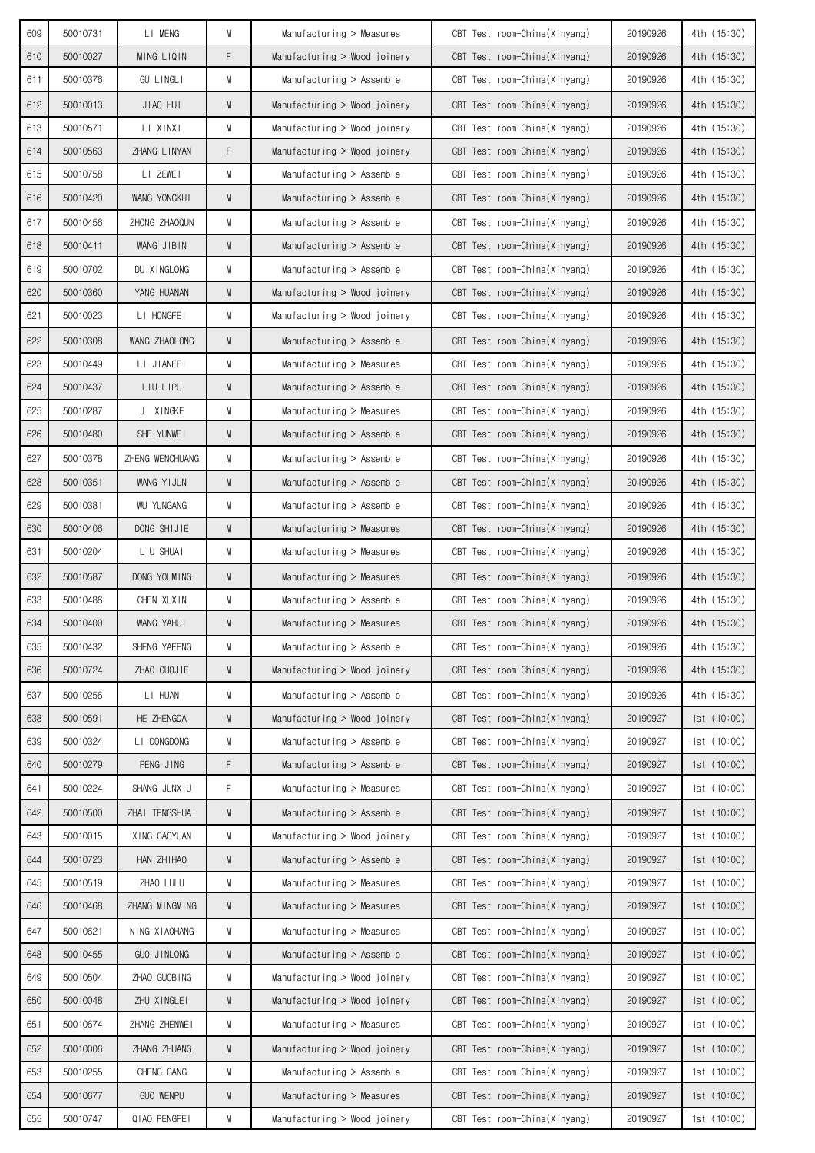| 609 | 50010731 | LI MENG           | M | Manufacturing > Measures     | CBT Test room-China(Xinyang) | 20190926 | 4th (15:30) |
|-----|----------|-------------------|---|------------------------------|------------------------------|----------|-------------|
| 610 | 50010027 | MING LIQIN        | F | Manufacturing > Wood joinery | CBT Test room-China(Xinyang) | 20190926 | 4th (15:30) |
| 611 | 50010376 | <b>GU LINGLI</b>  | М | Manufacturing $>$ Assemble   | CBT Test room-China(Xinyang) | 20190926 | 4th (15:30) |
| 612 | 50010013 | JIAO HUI          | M | Manufacturing > Wood joinery | CBT Test room-China(Xinyang) | 20190926 | 4th (15:30) |
| 613 | 50010571 | LI XINXI          | M | Manufacturing > Wood joinery | CBT Test room-China(Xinyang) | 20190926 | 4th (15:30) |
| 614 | 50010563 | ZHANG LINYAN      | F | Manufacturing > Wood joinery | CBT Test room-China(Xinyang) | 20190926 | 4th (15:30) |
| 615 | 50010758 | LI ZEWEI          | M | Manufacturing $>$ Assemble   | CBT Test room-China(Xinyang) | 20190926 | 4th (15:30) |
| 616 | 50010420 | WANG YONGKUI      | M | Manufacturing $>$ Assemble   | CBT Test room-China(Xinyang) | 20190926 | 4th (15:30) |
| 617 | 50010456 | ZHONG ZHAOQUN     | М | Manufacturing $>$ Assemble   | CBT Test room-China(Xinyang) | 20190926 | 4th (15:30) |
| 618 | 50010411 | WANG JIBIN        | M | $M$ anufacturing > Assemble  | CBT Test room-China(Xinyang) | 20190926 | 4th (15:30) |
| 619 | 50010702 | DU XINGLONG       | М | Manufacturing $>$ Assemble   | CBT Test room-China(Xinyang) | 20190926 | 4th (15:30) |
| 620 | 50010360 | YANG HUANAN       | M | Manufacturing > Wood joinery | CBT Test room-China(Xinyang) | 20190926 | 4th (15:30) |
| 621 | 50010023 | LI HONGFEI        | М | Manufacturing > Wood joinery | CBT Test room-China(Xinyang) | 20190926 | 4th (15:30) |
| 622 | 50010308 | WANG ZHAOLONG     | M | Manufacturing $>$ Assemble   | CBT Test room-China(Xinyang) | 20190926 | 4th (15:30) |
| 623 | 50010449 | LI JIANFEI        | М | Manufacturing $>$ Measures   | CBT Test room-China(Xinyang) | 20190926 | 4th (15:30) |
| 624 | 50010437 | LIU LIPU          | M | Manufacturing $>$ Assemble   | CBT Test room-China(Xinyang) | 20190926 | 4th (15:30) |
| 625 | 50010287 | JI XINGKE         | M | Manufacturing > Measures     | CBT Test room-China(Xinyang) | 20190926 | 4th (15:30) |
| 626 | 50010480 | SHE YUNWEI        | M | Manufacturing $>$ Assemble   | CBT Test room-China(Xinyang) | 20190926 | 4th (15:30) |
| 627 | 50010378 | ZHENG WENCHUANG   | M | Manufacturing $>$ Assemble   | CBT Test room-China(Xinyang) | 20190926 | 4th (15:30) |
| 628 | 50010351 | WANG YIJUN        | M | Manufacturing $>$ Assemble   | CBT Test room-China(Xinyang) | 20190926 | 4th (15:30) |
| 629 | 50010381 | <b>WU YUNGANG</b> | M | Manufacturing $>$ Assemble   | CBT Test room-China(Xinyang) | 20190926 | 4th (15:30) |
| 630 | 50010406 | DONG SHIJIE       | M | Manufacturing $>$ Measures   | CBT Test room-China(Xinyang) | 20190926 | 4th (15:30) |
| 631 | 50010204 | LIU SHUAI         | М | Manufacturing $>$ Measures   | CBT Test room-China(Xinyang) | 20190926 | 4th (15:30) |
| 632 | 50010587 | DONG YOUMING      | M | Manufacturing $>$ Measures   | CBT Test room-China(Xinyang) | 20190926 | 4th (15:30) |
| 633 | 50010486 | CHEN XUXIN        | M | Manufacturing $>$ Assemble   | CBT Test room-China(Xinyang) | 20190926 | 4th (15:30) |
| 634 | 50010400 | WANG YAHUI        | M | Manufacturing $>$ Measures   | CBT Test room-China(Xinyang) | 20190926 | 4th (15:30) |
| 635 | 50010432 | SHENG YAFENG      | M | Manufacturing > Assemble     | CBT Test room-China(Xinyang) | 20190926 | 4th (15:30) |
| 636 | 50010724 | ZHAO GUOJIE       | M | Manufacturing > Wood joinery | CBT Test room-China(Xinyang) | 20190926 | 4th (15:30) |
| 637 | 50010256 | LI HUAN           | М | Manufacturing > Assemble     | CBT Test room-China(Xinyang) | 20190926 | 4th (15:30) |
| 638 | 50010591 | HE ZHENGDA        | M | Manufacturing > Wood joinery | CBT Test room-China(Xinyang) | 20190927 | 1st(10:00)  |
| 639 | 50010324 | LI DONGDONG       | M | Manufacturing $>$ Assemble   | CBT Test room-China(Xinyang) | 20190927 | 1st(10:00)  |
| 640 | 50010279 | PENG JING         | F | Manufacturing > Assemble     | CBT Test room-China(Xinyang) | 20190927 | 1st(10:00)  |
| 641 | 50010224 | SHANG JUNXIU      | F | Manufacturing > Measures     | CBT Test room-China(Xinyang) | 20190927 | 1st(10:00)  |
| 642 | 50010500 | ZHAI TENGSHUAI    | M | Manufacturing > Assemble     | CBT Test room-China(Xinyang) | 20190927 | 1st(10:00)  |
| 643 | 50010015 | XING GAOYUAN      | M | Manufacturing > Wood joinery | CBT Test room-China(Xinyang) | 20190927 | 1st (10:00) |
| 644 | 50010723 | HAN ZHIHAO        | M | Manufacturing > Assemble     | CBT Test room-China(Xinyang) | 20190927 | 1st(10:00)  |
| 645 | 50010519 | ZHAO LULU         | M | Manufacturing > Measures     | CBT Test room-China(Xinyang) | 20190927 | 1st(10:00)  |
| 646 | 50010468 | ZHANG MINGMING    | M | Manufacturing > Measures     | CBT Test room-China(Xinyang) | 20190927 | 1st(10:00)  |
| 647 | 50010621 | NING XIAOHANG     | M | Manufacturing > Measures     | CBT Test room-China(Xinyang) | 20190927 | 1st(10:00)  |
| 648 | 50010455 | GUO JINLONG       | M | Manufacturing > Assemble     | CBT Test room-China(Xinyang) | 20190927 | 1st(10:00)  |
| 649 | 50010504 | ZHAO GUOBING      | М | Manufacturing > Wood joinery | CBT Test room-China(Xinyang) | 20190927 | 1st(10:00)  |
| 650 | 50010048 | ZHU XINGLEI       | M | Manufacturing > Wood joinery | CBT Test room-China(Xinyang) | 20190927 | 1st(10:00)  |
| 651 | 50010674 | ZHANG ZHENWEI     | М | Manufacturing > Measures     | CBT Test room-China(Xinyang) | 20190927 | 1st(10:00)  |
| 652 | 50010006 | ZHANG ZHUANG      | M | Manufacturing > Wood joinery | CBT Test room-China(Xinyang) | 20190927 | 1st(10:00)  |
| 653 | 50010255 | CHENG GANG        | M | Manufacturing > Assemble     | CBT Test room-China(Xinyang) | 20190927 | 1st(10:00)  |
| 654 | 50010677 | <b>GUO WENPU</b>  | M | Manufacturing > Measures     | CBT Test room-China(Xinyang) | 20190927 | 1st(10:00)  |
| 655 | 50010747 | QIAO PENGFEI      | М | Manufacturing > Wood joinery | CBT Test room-China(Xinyang) | 20190927 | 1st (10:00) |